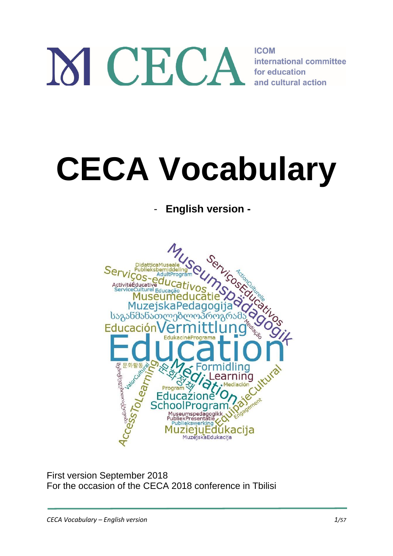# M CECA **ICOM** international committee for education and cultural action

# **CECA Vocabulary**

# - **English version -**



First version September 2018 For the occasion of the CECA 2018 conference in Tbilisi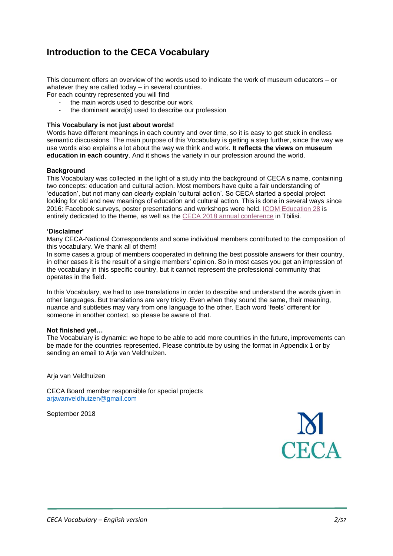# **Introduction to the CECA Vocabulary**

This document offers an overview of the words used to indicate the work of museum educators – or whatever they are called today – in several countries.

For each country represented you will find

- the main words used to describe our work
- the dominant word(s) used to describe our profession

#### **This Vocabulary is not just about words!**

Words have different meanings in each country and over time, so it is easy to get stuck in endless semantic discussions. The main purpose of this Vocabulary is getting a step further, since the way we use words also explains a lot about the way we think and work. **It reflects the views on museum education in each country**. And it shows the variety in our profession around the world.

#### **Background**

This Vocabulary was collected in the light of a study into the background of CECA's name, containing two concepts: education and cultural action. Most members have quite a fair understanding of 'education', but not many can clearly explain 'cultural action'. So CECA started a special project looking for old and new meanings of education and cultural action. This is done in several ways since 2016: Facebook surveys, poster presentations and workshops were held[. ICOM Education](https://drive.google.com/file/d/1EErtwOgLOiMfKe7cOBBAFWINIvPTmoAy/view) 28 is entirely dedicated to the theme, as well as the [CECA 2018 annual conference](https://www.ceca2018.ge/) in Tbilisi.

#### **'Disclaimer'**

Many CECA-National Correspondents and some individual members contributed to the composition of this vocabulary. We thank all of them!

In some cases a group of members cooperated in defining the best possible answers for their country, in other cases it is the result of a single members' opinion. So in most cases you get an impression of the vocabulary in this specific country, but it cannot represent the professional community that operates in the field.

In this Vocabulary, we had to use translations in order to describe and understand the words given in other languages. But translations are very tricky. Even when they sound the same, their meaning, nuance and subtleties may vary from one language to the other. Each word 'feels' different for someone in another context, so please be aware of that.

#### **Not finished yet…**

The Vocabulary is dynamic: we hope to be able to add more countries in the future, improvements can be made for the countries represented. Please contribute by using the format in Appendix 1 or by sending an email to Arja van Veldhuizen.

Arja van Veldhuizen

CECA Board member responsible for special projects [arjavanveldhuizen@gmail.com](mailto:arjavanveldhuizen@gmail.com)

September 2018

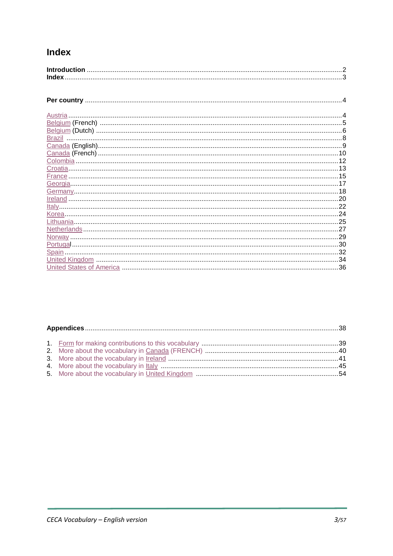# **Index**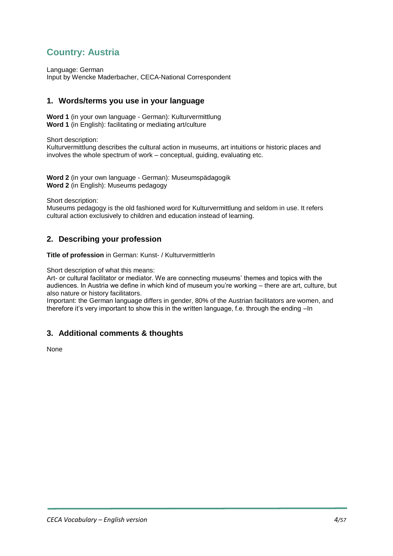# <span id="page-3-0"></span>**Country: Austria**

Language: German Input by Wencke Maderbacher, CECA-National Correspondent

## **1. Words/terms you use in your language**

**Word 1** (in your own language - German): Kulturvermittlung **Word 1** (in English): facilitating or mediating art/culture

Short description:

Kulturvermittlung describes the cultural action in museums, art intuitions or historic places and involves the whole spectrum of work – conceptual, guiding, evaluating etc.

**Word 2** (in your own language - German): Museumspädagogik **Word 2** (in English): Museums pedagogy

Short description:

Museums pedagogy is the old fashioned word for Kulturvermittlung and seldom in use. It refers cultural action exclusively to children and education instead of learning.

#### **2. Describing your profession**

**Title of profession** in German: Kunst- / KulturvermittlerIn

Short description of what this means:

Art- or cultural facilitator or mediator. We are connecting museums' themes and topics with the audiences. In Austria we define in which kind of museum you're working – there are art, culture, but also nature or history facilitators.

Important: the German language differs in gender, 80% of the Austrian facilitators are women, and therefore it's very important to show this in the written language, f.e. through the ending –In

#### **3. Additional comments & thoughts**

None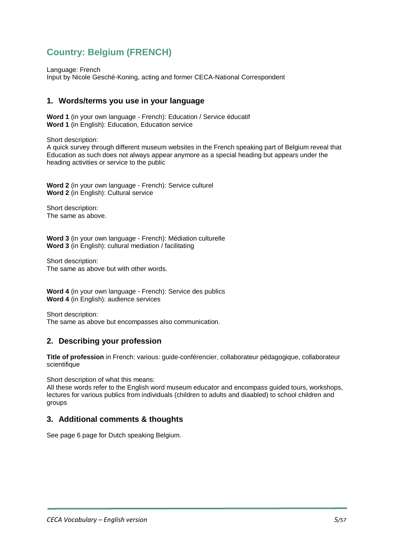# <span id="page-4-0"></span>**Country: Belgium (FRENCH)**

Language: French

Input by Nicole Gesché-Koning, acting and former CECA-National Correspondent

## **1. Words/terms you use in your language**

**Word 1** (in your own language - French): Education / Service éducatif **Word 1** (in English): Education, Education service

Short description:

A quick survey through different museum websites in the French speaking part of Belgium reveal that Education as such does not always appear anymore as a special heading but appears under the heading activities or service to the public

**Word 2** (in your own language - French): Service culturel **Word 2** (in English): Cultural service

Short description: The same as above.

**Word 3** (in your own language - French): Médiation culturelle **Word 3** (in English): cultural mediation / facilitating

Short description: The same as above but with other words.

**Word 4** (in your own language - French): Service des publics **Word 4** (in English): audience services

Short description: The same as above but encompasses also communication.

# **2. Describing your profession**

**Title of profession** in French: various: guide-conférencier, collaborateur pédagogique, collaborateur scientifique

Short description of what this means:

All these words refer to the English word museum educator and encompass guided tours, workshops, lectures for various publics from individuals (children to adults and diaabled) to school children and groups

#### **3. Additional comments & thoughts**

See page 6 page for Dutch speaking Belgium.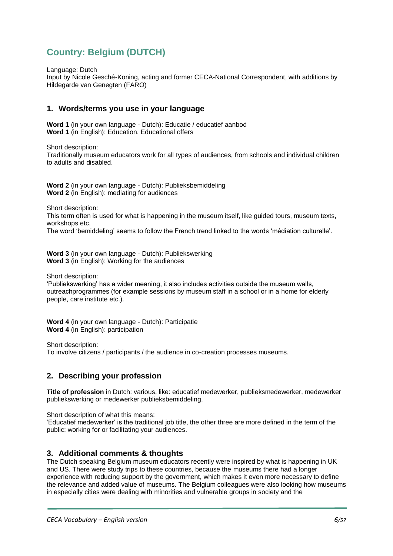# <span id="page-5-0"></span>**Country: Belgium (DUTCH)**

Language: Dutch

Input by Nicole Gesché-Koning, acting and former CECA-National Correspondent, with additions by Hildegarde van Genegten (FARO)

## **1. Words/terms you use in your language**

**Word 1** (in your own language - Dutch): Educatie / educatief aanbod **Word 1** (in English): Education, Educational offers

Short description: Traditionally museum educators work for all types of audiences, from schools and individual children to adults and disabled.

**Word 2** (in your own language - Dutch): Publieksbemiddeling **Word 2** (in English): mediating for audiences

Short description:

This term often is used for what is happening in the museum itself, like guided tours, museum texts, workshops etc.

The word 'bemiddeling' seems to follow the French trend linked to the words 'médiation culturelle'.

**Word 3** (in your own language - Dutch): Publiekswerking **Word 3** (in English): Working for the audiences

Short description:

'Publiekswerking' has a wider meaning, it also includes activities outside the museum walls, outreachprogrammes (for example sessions by museum staff in a school or in a home for elderly people, care institute etc.).

**Word 4** (in your own language - Dutch): Participatie **Word 4** (in English): participation

Short description: To involve citizens / participants / the audience in co-creation processes museums.

# **2. Describing your profession**

**Title of profession** in Dutch: various, like: educatief medewerker, publieksmedewerker, medewerker publiekswerking or medewerker publieksbemiddeling.

Short description of what this means:

'Educatief medewerker' is the traditional job title, the other three are more defined in the term of the public: working for or facilitating your audiences.

#### **3. Additional comments & thoughts**

The Dutch speaking Belgium museum educators recently were inspired by what is happening in UK and US. There were study trips to these countries, because the museums there had a longer experience with reducing support by the government, which makes it even more necessary to define the relevance and added value of museums. The Belgium colleagues were also looking how museums in especially cities were dealing with minorities and vulnerable groups in society and the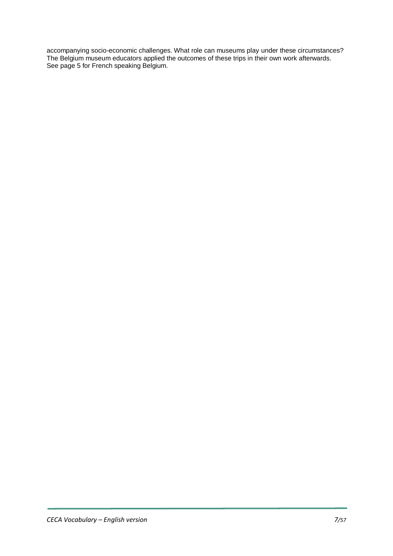accompanying socio-economic challenges. What role can museums play under these circumstances? The Belgium museum educators applied the outcomes of these trips in their own work afterwards. See page 5 for French speaking Belgium.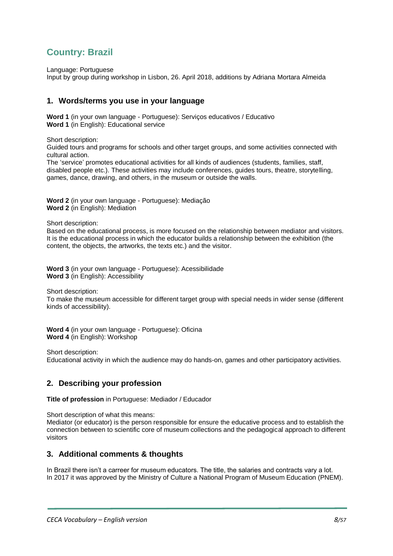# <span id="page-7-0"></span>**Country: Brazil**

Language: Portuguese

Input by group during workshop in Lisbon, 26. April 2018, additions by Adriana Mortara Almeida

## **1. Words/terms you use in your language**

**Word 1** (in your own language - Portuguese): Serviços educativos / Educativo **Word 1** (in English): Educational service

Short description:

Guided tours and programs for schools and other target groups, and some activities connected with cultural action.

The 'service' promotes educational activities for all kinds of audiences (students, families, staff, disabled people etc.). These activities may include conferences, guides tours, theatre, storytelling, games, dance, drawing, and others, in the museum or outside the walls.

**Word 2** (in your own language - Portuguese): Mediação **Word 2** (in English): Mediation

Short description:

Based on the educational process, is more focused on the relationship between mediator and visitors. It is the educational process in which the educator builds a relationship between the exhibition (the content, the objects, the artworks, the texts etc.) and the visitor.

**Word 3** (in your own language - Portuguese): Acessibilidade **Word 3** (in English): Accessibility

Short description:

To make the museum accessible for different target group with special needs in wider sense (different kinds of accessibility).

**Word 4** (in your own language - Portuguese): Oficina **Word 4** (in English): Workshop

Short description:

Educational activity in which the audience may do hands-on, games and other participatory activities.

# **2. Describing your profession**

**Title of profession** in Portuguese: Mediador / Educador

Short description of what this means: Mediator (or educator) is the person responsible for ensure the educative process and to establish the connection between to scientific core of museum collections and the pedagogical approach to different visitors

#### **3. Additional comments & thoughts**

In Brazil there isn't a carreer for museum educators. The title, the salaries and contracts vary a lot. In 2017 it was approved by the Ministry of Culture a National Program of Museum Education (PNEM).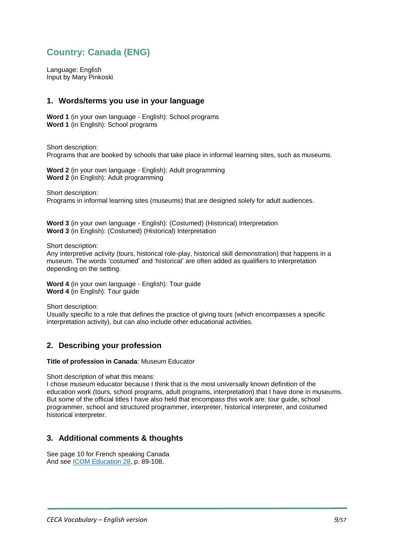# <span id="page-8-0"></span>**Country: Canada (ENG)**

Language: English Input by Mary Pinkoski

## **1. Words/terms you use in your language**

**Word 1** (in your own language - English): School programs **Word 1** (in English): School programs

Short description: Programs that are booked by schools that take place in informal learning sites, such as museums.

**Word 2** (in your own language - English): Adult programming **Word 2** (in English): Adult programming

Short description: Programs in informal learning sites (museums) that are designed solely for adult audiences.

**Word 3** (in your own language - English): (Costumed) (Historical) Interpretation **Word 3** (in English): (Costumed) (Historical) Interpretation

Short description:

Any interpretive activity (tours, historical role-play, historical skill demonstration) that happens in a museum. The words 'costumed' and 'historical' are often added as qualifiers to interpretation depending on the setting.

**Word 4** (in your own language - English): Tour guide **Word 4** (in English): Tour guide

Short description:

Usually specific to a role that defines the practice of giving tours (which encompasses a specific interpretation activity), but can also include other educational activities.

# **2. Describing your profession**

#### **Title of profession in Canada**: Museum Educator

Short description of what this means:

I chose museum educator because I think that is the most universally known definition of the education work (tours, school programs, adult programs, interpretation) that I have done in museums. But some of the official titles I have also held that encompass this work are: tour guide, school programmer, school and structured programmer, interpreter, historical interpreter, and costumed historical interpreter.

# **3. Additional comments & thoughts**

See page 10 for French speaking Canada And see [ICOM Education 28,](https://drive.google.com/file/d/1EErtwOgLOiMfKe7cOBBAFWINIvPTmoAy/view) p. 89-108.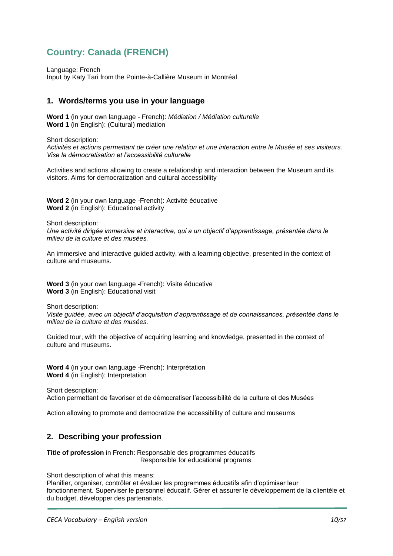# <span id="page-9-0"></span>**Country: Canada (FRENCH)**

Language: French Input by Katy Tari from the Pointe-à-Callière Museum in Montréal

## **1. Words/terms you use in your language**

**Word 1** (in your own language - French): *Médiation / Médiation culturelle* **Word 1** (in English): (Cultural) mediation

Short description:

*Activités et actions permettant de créer une relation et une interaction entre le Musée et ses visiteurs. Vise la démocratisation et l'accessibilité culturelle*

Activities and actions allowing to create a relationship and interaction between the Museum and its visitors. Aims for democratization and cultural accessibility

**Word 2** (in your own language -French): Activité éducative **Word 2** (in English): Educational activity

Short description:

*Une activité dirigée immersive et interactive, qui a un objectif d'apprentissage, présentée dans le milieu de la culture et des musées.*

An immersive and interactive guided activity, with a learning objective, presented in the context of culture and museums.

**Word 3** (in your own language -French): Visite éducative **Word 3** (in English): Educational visit

Short description:

*Visite guidée, avec un objectif d'acquisition d'apprentissage et de connaissances, présentée dans le milieu de la culture et des musées.*

Guided tour, with the objective of acquiring learning and knowledge, presented in the context of culture and museums.

**Word 4** (in your own language -French): Interprétation **Word 4** (in English): Interpretation

Short description: Action permettant de favoriser et de démocratiser l'accessibilité de la culture et des Musées

Action allowing to promote and democratize the accessibility of culture and museums

# **2. Describing your profession**

**Title of profession** in French: Responsable des programmes éducatifs Responsible for educational programs

Short description of what this means:

Planifier, organiser, contrôler et évaluer les programmes éducatifs afin d'optimiser leur fonctionnement. Superviser le personnel éducatif. Gérer et assurer le développement de la clientèle et du budget, développer des partenariats.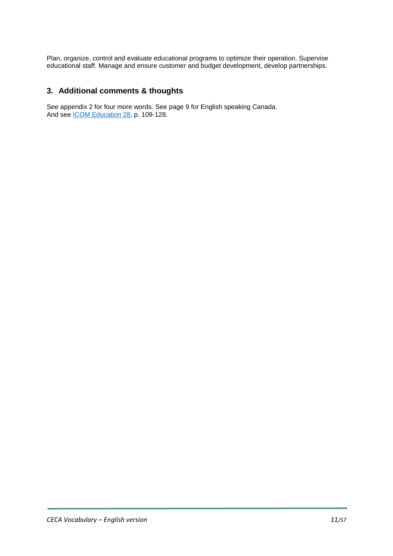Plan, organize, control and evaluate educational programs to optimize their operation. Supervise educational staff. Manage and ensure customer and budget development, develop partnerships.

## **3. Additional comments & thoughts**

See appendix 2 for four more words. See page 9 for English speaking Canada. And see [ICOM Education 28,](https://drive.google.com/file/d/1EErtwOgLOiMfKe7cOBBAFWINIvPTmoAy/view) p. 109-128.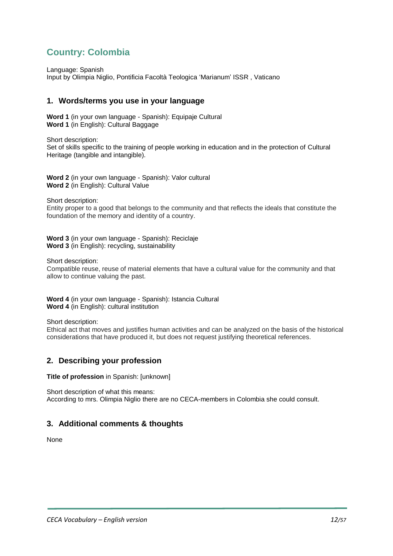# <span id="page-11-0"></span>**Country: Colombia**

Language: Spanish

Input by Olimpia Niglio, Pontificia Facoltà Teologica 'Marianum' ISSR , Vaticano

#### **1. Words/terms you use in your language**

**Word 1** (in your own language - Spanish): Equipaje Cultural **Word 1** (in English): Cultural Baggage

Short description: Set of skills specific to the training of people working in education and in the protection of Cultural Heritage (tangible and intangible).

**Word 2** (in your own language - Spanish): Valor cultural **Word 2** (in English): Cultural Value

Short description:

Entity proper to a good that belongs to the community and that reflects the ideals that constitute the foundation of the memory and identity of a country.

**Word 3** (in your own language - Spanish): Reciclaje **Word 3** (in English): recycling, sustainability

Short description:

Compatible reuse, reuse of material elements that have a cultural value for the community and that allow to continue valuing the past.

**Word 4** (in your own language - Spanish): Istancia Cultural **Word 4** (in English): cultural institution

Short description:

Ethical act that moves and justifies human activities and can be analyzed on the basis of the historical considerations that have produced it, but does not request justifying theoretical references.

#### **2. Describing your profession**

**Title of profession** in Spanish: [unknown]

Short description of what this means: According to mrs. Olimpia Niglio there are no CECA-members in Colombia she could consult.

#### **3. Additional comments & thoughts**

None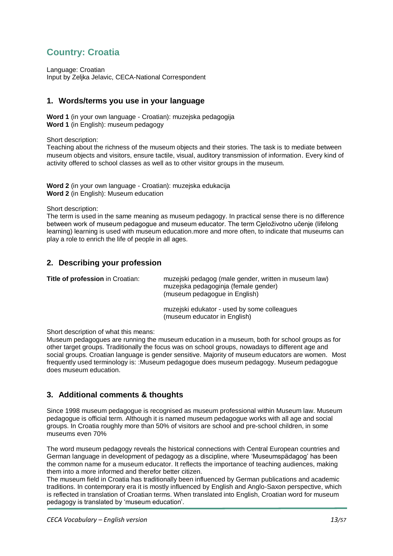# <span id="page-12-0"></span>**Country: Croatia**

Language: Croatian Input by Zeljka Jelavic, CECA-National Correspondent

# **1. Words/terms you use in your language**

**Word 1** (in your own language - Croatian): muzejska pedagogija **Word 1** (in English): museum pedagogy

Short description:

Teaching about the richness of the museum objects and their stories. The task is to mediate between museum objects and visitors, ensure tactile, visual, auditory transmission of information. Every kind of activity offered to school classes as well as to other visitor groups in the museum.

**Word 2** (in your own language - Croatian): muzejska edukacija **Word 2** (in English): Museum education

Short description:

The term is used in the same meaning as museum pedagogy. In practical sense there is no difference between work of museum pedagogue and museum educator. The term Cjeloživotno učenje (lifelong learning) learning is used with museum education.more and more often, to indicate that museums can play a role to enrich the life of people in all ages.

# **2. Describing your profession**

| Title of profession in Croatian: | muzejski pedagog (male gender, written in museum law)<br>muzejska pedagoginja (female gender)<br>(museum pedagogue in English) |
|----------------------------------|--------------------------------------------------------------------------------------------------------------------------------|
|                                  | muzejski edukator - used by some colleagues<br>(museum educator in English)                                                    |

Short description of what this means:

Museum pedagogues are running the museum education in a museum, both for school groups as for other target groups. Traditionally the focus was on school groups, nowadays to different age and social groups. Croatian language is gender sensitive. Majority of museum educators are women. Most frequently used terminology is: :Museum pedagogue does museum pedagogy. Museum pedagogue does museum education.

# **3. Additional comments & thoughts**

Since 1998 museum pedagogue is recognised as museum professional within Museum law. Museum pedagogue is official term. Although it is named museum pedagogue works with all age and social groups. In Croatia roughly more than 50% of visitors are school and pre-school children, in some museums even 70%

The word museum pedagogy reveals the historical connections with Central European countries and German language in development of pedagogy as a discipline, where 'Museumspädagog' has been the common name for a museum educator. It reflects the importance of teaching audiences, making them into a more informed and therefor better citizen.

The museum field in Croatia has traditionally been influenced by German publications and academic traditions. In contemporary era it is mostly influenced by English and Anglo-Saxon perspective, which is reflected in translation of Croatian terms. When translated into English, Croatian word for museum pedagogy is translated by 'museum education'.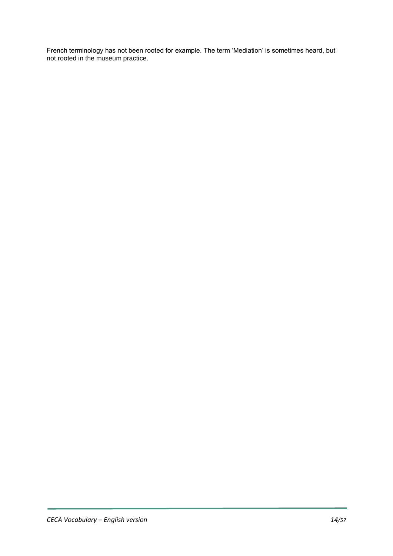French terminology has not been rooted for example. The term 'Mediation' is sometimes heard, but not rooted in the museum practice.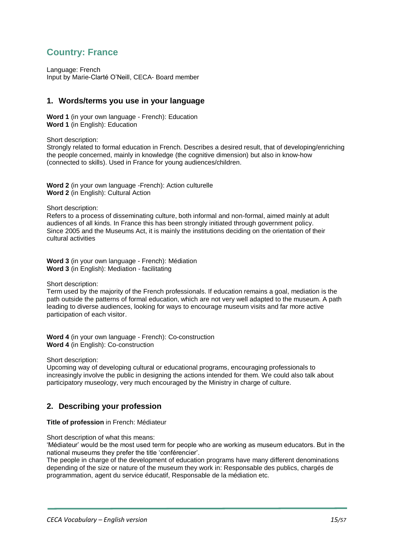# <span id="page-14-0"></span>**Country: France**

Language: French Input by Marie-Clarté O'Neill, CECA- Board member

## **1. Words/terms you use in your language**

**Word 1** (in your own language - French): Education **Word 1** (in English): Education

Short description:

Strongly related to formal education in French. Describes a desired result, that of developing/enriching the people concerned, mainly in knowledge (the cognitive dimension) but also in know-how (connected to skills). Used in France for young audiences/children.

**Word 2** (in your own language -French): Action culturelle **Word 2** (in English): Cultural Action

Short description:

Refers to a process of disseminating culture, both informal and non-formal, aimed mainly at adult audiences of all kinds. In France this has been strongly initiated through government policy. Since 2005 and the Museums Act, it is mainly the institutions deciding on the orientation of their cultural activities

**Word 3** (in your own language - French): Médiation **Word 3** (in English): Mediation - facilitating

Short description:

Term used by the majority of the French professionals. If education remains a goal, mediation is the path outside the patterns of formal education, which are not very well adapted to the museum. A path leading to diverse audiences, looking for ways to encourage museum visits and far more active participation of each visitor.

**Word 4** (in your own language - French): Co-construction **Word 4** (in English): Co-construction

Short description:

Upcoming way of developing cultural or educational programs, encouraging professionals to increasingly involve the public in designing the actions intended for them. We could also talk about participatory museology, very much encouraged by the Ministry in charge of culture.

# **2. Describing your profession**

**Title of profession** in French: Médiateur

Short description of what this means:

'Médiateur' would be the most used term for people who are working as museum educators. But in the national museums they prefer the title 'conférencier'.

The people in charge of the development of education programs have many different denominations depending of the size or nature of the museum they work in: Responsable des publics, chargés de programmation, agent du service éducatif, Responsable de la médiation etc.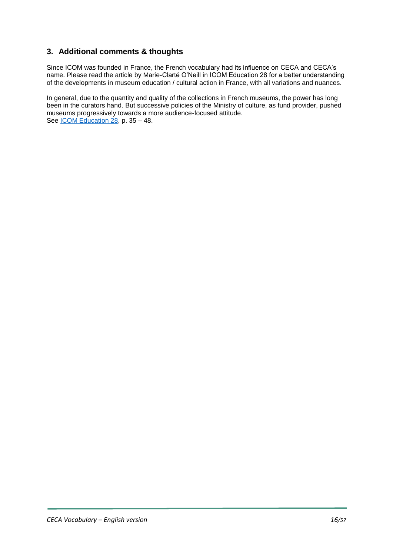# **3. Additional comments & thoughts**

Since ICOM was founded in France, the French vocabulary had its influence on CECA and CECA's name. Please read the article by Marie-Clarté O'Neill in ICOM Education 28 for a better understanding of the developments in museum education / cultural action in France, with all variations and nuances.

In general, due to the quantity and quality of the collections in French museums, the power has long been in the curators hand. But successive policies of the Ministry of culture, as fund provider, pushed museums progressively towards a more audience-focused attitude. See [ICOM Education 28,](https://drive.google.com/file/d/1EErtwOgLOiMfKe7cOBBAFWINIvPTmoAy/view) p. 35 - 48.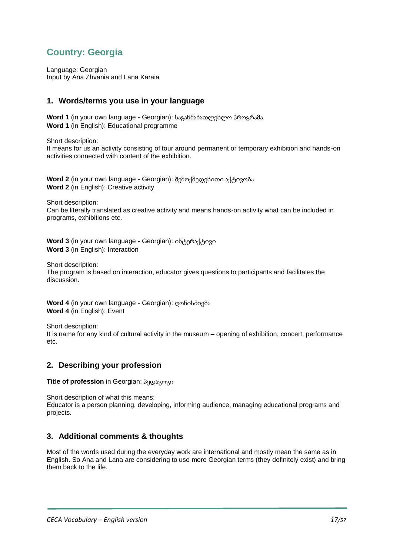# <span id="page-16-0"></span>**Country: Georgia**

Language: Georgian Input by Ana Zhvania and Lana Karaia

# **1. Words/terms you use in your language**

**Word 1** (in your own language - Georgian): საგანმანათლებლო პროგრამა **Word 1** (in English): Educational programme

Short description:

It means for us an activity consisting of tour around permanent or temporary exhibition and hands-on activities connected with content of the exhibition.

**Word 2** (in your own language - Georgian): შემოქმედებითი აქტივობა **Word 2** (in English): Creative activity

Short description:

Can be literally translated as creative activity and means hands-on activity what can be included in programs, exhibitions etc.

**Word 3** (in your own language - Georgian): ინტერაქტივი **Word 3** (in English): Interaction

Short description:

The program is based on interaction, educator gives questions to participants and facilitates the discussion.

**Word 4** (in your own language - Georgian): ღონისძიება **Word 4** (in English): Event

Short description: It is name for any kind of cultural activity in the museum – opening of exhibition, concert, performance etc.

#### **2. Describing your profession**

**Title of profession** in Georgian: პედაგოგი

Short description of what this means: Educator is a person planning, developing, informing audience, managing educational programs and projects.

# **3. Additional comments & thoughts**

Most of the words used during the everyday work are international and mostly mean the same as in English. So Ana and Lana are considering to use more Georgian terms (they definitely exist) and bring them back to the life.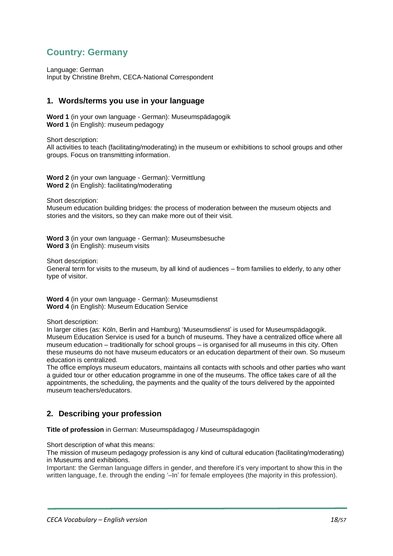# <span id="page-17-0"></span>**Country: Germany**

Language: German Input by Christine Brehm, CECA-National Correspondent

## **1. Words/terms you use in your language**

**Word 1** (in your own language - German): Museumspädagogik **Word 1** (in English): museum pedagogy

Short description:

All activities to teach (facilitating/moderating) in the museum or exhibitions to school groups and other groups. Focus on transmitting information.

**Word 2** (in your own language - German): Vermittlung **Word 2** (in English): facilitating/moderating

Short description:

Museum education building bridges: the process of moderation between the museum objects and stories and the visitors, so they can make more out of their visit.

**Word 3** (in your own language - German): Museumsbesuche **Word 3** (in English): museum visits

Short description:

General term for visits to the museum, by all kind of audiences – from families to elderly, to any other type of visitor.

**Word 4** (in your own language - German): Museumsdienst **Word 4** (in English): Museum Education Service

Short description:

In larger cities (as: Köln, Berlin and Hamburg) 'Museumsdienst' is used for Museumspädagogik. Museum Education Service is used for a bunch of museums. They have a centralized office where all museum education – traditionally for school groups – is organised for all museums in this city. Often these museums do not have museum educators or an education department of their own. So museum education is centralized.

The office employs museum educators, maintains all contacts with schools and other parties who want a guided tour or other education programme in one of the museums. The office takes care of all the appointments, the scheduling, the payments and the quality of the tours delivered by the appointed museum teachers/educators.

# **2. Describing your profession**

**Title of profession** in German: Museumspädagog / Museumspädagogin

Short description of what this means:

The mission of museum pedagogy profession is any kind of cultural education (facilitating/moderating) in Museums and exhibitions.

Important: the German language differs in gender, and therefore it's very important to show this in the written language, f.e. through the ending '–In' for female employees (the majority in this profession).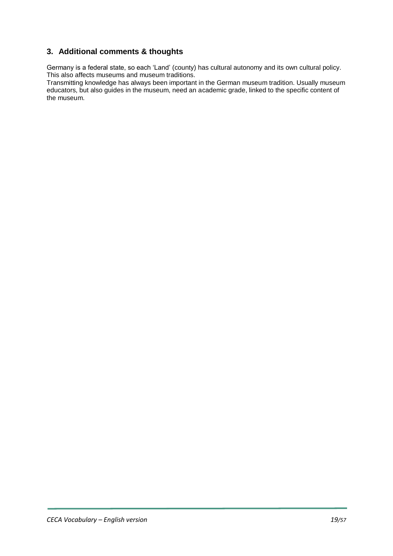# **3. Additional comments & thoughts**

Germany is a federal state, so each 'Land' (county) has cultural autonomy and its own cultural policy. This also affects museums and museum traditions.

Transmitting knowledge has always been important in the German museum tradition. Usually museum educators, but also guides in the museum, need an academic grade, linked to the specific content of the museum.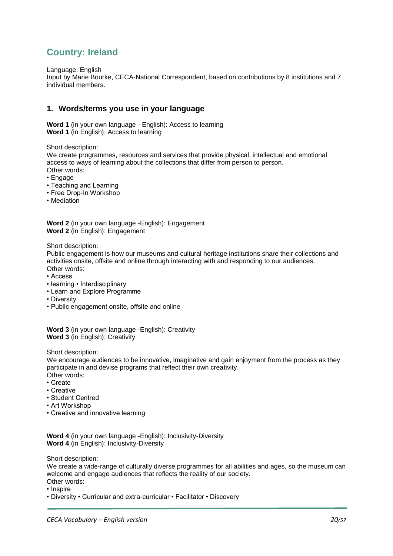# <span id="page-19-0"></span>**Country: Ireland**

Language: English

Input by Marie Bourke, CECA-National Correspondent, based on contributions by 8 institutions and 7 individual members.

## **1. Words/terms you use in your language**

**Word 1** (in your own language - English): Access to learning **Word 1** (in English): Access to learning

Short description:

We create programmes, resources and services that provide physical, intellectual and emotional access to ways of learning about the collections that differ from person to person. Other words:

- Engage
- Teaching and Learning
- Free Drop-In Workshop
- Mediation

**Word 2** (in your own language -English): Engagement **Word 2** (in English): Engagement

Short description:

Public engagement is how our museums and cultural heritage institutions share their collections and activities onsite, offsite and online through interacting with and responding to our audiences. Other words:

- Access
- learning Interdisciplinary
- Learn and Explore Programme
- Diversity
- Public engagement onsite, offsite and online

**Word 3** (in your own language -English): Creativity **Word 3** (in English): Creativity

Short description:

We encourage audiences to be innovative, imaginative and gain enjoyment from the process as they participate in and devise programs that reflect their own creativity. Other words:

• Create

- 
- Creative • Student Centred
- 
- Art Workshop
- Creative and innovative learning

**Word 4** (in your own language -English): Inclusivity-Diversity **Word 4** (in English): Inclusivity-Diversity

Short description:

We create a wide-range of culturally diverse programmes for all abilities and ages, so the museum can welcome and engage audiences that reflects the reality of our society. Other words:

- Inspire
- Diversity Curricular and extra-curricular Facilitator Discovery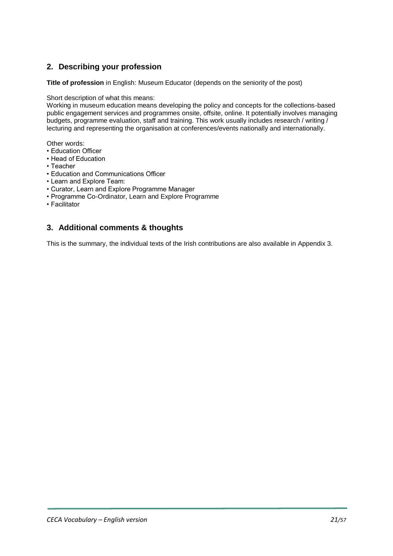# **2. Describing your profession**

**Title of profession** in English: Museum Educator (depends on the seniority of the post)

Short description of what this means:

Working in museum education means developing the policy and concepts for the collections-based public engagement services and programmes onsite, offsite, online. It potentially involves managing budgets, programme evaluation, staff and training. This work usually includes research / writing / lecturing and representing the organisation at conferences/events nationally and internationally.

Other words:

- Education Officer
- Head of Education
- Teacher
- Education and Communications Officer
- Learn and Explore Team:
- Curator, Learn and Explore Programme Manager
- Programme Co-Ordinator, Learn and Explore Programme
- Facilitator

# **3. Additional comments & thoughts**

This is the summary, the individual texts of the Irish contributions are also available in Appendix 3.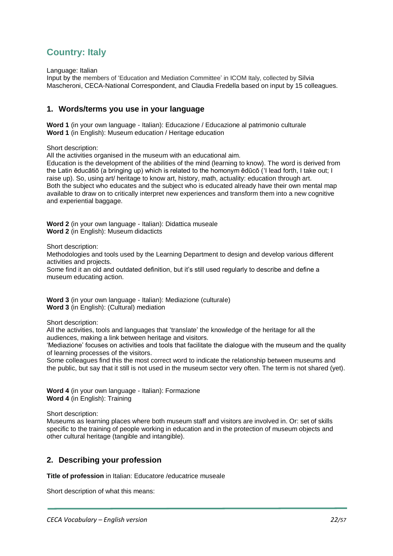# <span id="page-21-0"></span>**Country: Italy**

Language: Italian

Input by the members of 'Education and Mediation Committee' in ICOM Italy, collected by Silvia Mascheroni, CECA-National Correspondent, and Claudia Fredella based on input by 15 colleagues.

## **1. Words/terms you use in your language**

**Word 1** (in your own language - Italian): Educazione / Educazione al patrimonio culturale **Word 1** (in English): Museum education / Heritage education

Short description:

All the activities organised in the museum with an educational aim.

Education is the development of the abilities of the mind (learning to know). The word is derived from the Latin ēducātiō (a bringing up) which is related to the homonym ēdūcō ('I lead forth, I take out; I raise up). So, using art/ heritage to know art, history, math, actuality: education through art. Both the subject who educates and the subject who is educated already have their own mental map available to draw on to critically interpret new experiences and transform them into a new cognitive and experiential baggage.

**Word 2** (in your own language - Italian): Didattica museale **Word 2** (in English): Museum didacticts

Short description:

Methodologies and tools used by the Learning Department to design and develop various different activities and projects.

Some find it an old and outdated definition, but it's still used regularly to describe and define a museum educating action.

**Word 3** (in your own language - Italian): Mediazione (culturale) **Word 3** (in English): (Cultural) mediation

Short description:

All the activities, tools and languages that 'translate' the knowledge of the heritage for all the audiences, making a link between heritage and visitors.

'Mediazione' focuses on activities and tools that facilitate the dialogue with the museum and the quality of learning processes of the visitors.

Some colleagues find this the most correct word to indicate the relationship between museums and the public, but say that it still is not used in the museum sector very often. The term is not shared (yet).

**Word 4** (in your own language - Italian): Formazione **Word 4** (in English): Training

Short description:

Museums as learning places where both museum staff and visitors are involved in. Or: set of skills specific to the training of people working in education and in the protection of museum objects and other cultural heritage (tangible and intangible).

# **2. Describing your profession**

**Title of profession** in Italian: Educatore /educatrice museale

Short description of what this means: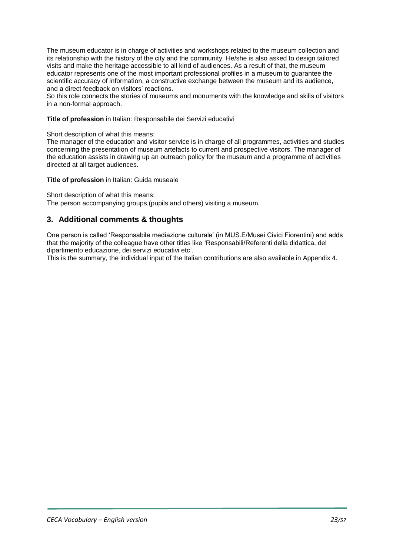The museum educator is in charge of activities and workshops related to the museum collection and its relationship with the history of the city and the community. He/she is also asked to design tailored visits and make the heritage accessible to all kind of audiences. As a result of that, the museum educator represents one of the most important professional profiles in a museum to guarantee the scientific accuracy of information, a constructive exchange between the museum and its audience, and a direct feedback on visitors' reactions.

So this role connects the stories of museums and monuments with the knowledge and skills of visitors in a non-formal approach.

**Title of profession** in Italian: Responsabile dei Servizi educativi

Short description of what this means:

The manager of the education and visitor service is in charge of all programmes, activities and studies concerning the presentation of museum artefacts to current and prospective visitors. The manager of the education assists in drawing up an outreach policy for the museum and a programme of activities directed at all target audiences.

**Title of profession** in Italian: Guida museale

Short description of what this means: The person accompanying groups (pupils and others) visiting a museum.

## **3. Additional comments & thoughts**

One person is called 'Responsabile mediazione culturale' (in MUS.E/Musei Civici Fiorentini) and adds that the majority of the colleague have other titles like 'Responsabili/Referenti della didattica, del dipartimento educazione, dei servizi educativi etc'.

This is the summary, the individual input of the Italian contributions are also available in Appendix 4.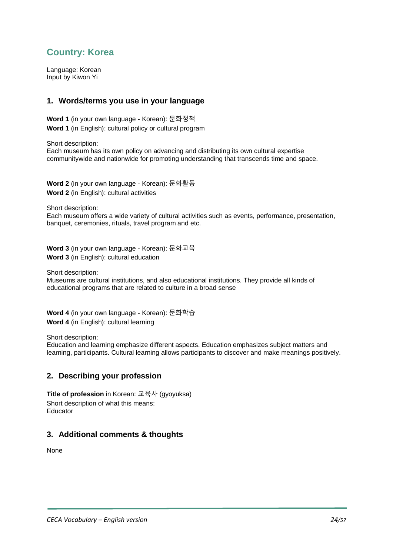# <span id="page-23-0"></span>**Country: Korea**

Language: Korean Input by Kiwon Yi

## **1. Words/terms you use in your language**

**Word 1** (in your own language - Korean): 문화정책 **Word 1** (in English): cultural policy or cultural program

Short description: Each museum has its own policy on advancing and distributing its own cultural expertise communitywide and nationwide for promoting understanding that transcends time and space.

**Word 2** (in your own language - Korean): 문화활동 **Word 2** (in English): cultural activities

Short description:

Each museum offers a wide variety of cultural activities such as events, performance, presentation, banquet, ceremonies, rituals, travel program and etc.

**Word 3** (in your own language - Korean): 문화교육 **Word 3** (in English): cultural education

Short description:

Museums are cultural institutions, and also educational institutions. They provide all kinds of educational programs that are related to culture in a broad sense

**Word 4** (in your own language - Korean): 문화학습 **Word 4** (in English): cultural learning

Short description:

Education and learning emphasize different aspects. Education emphasizes subject matters and learning, participants. Cultural learning allows participants to discover and make meanings positively.

# **2. Describing your profession**

**Title of profession** in Korean: 교육사 (gyoyuksa) Short description of what this means: Educator

# **3. Additional comments & thoughts**

None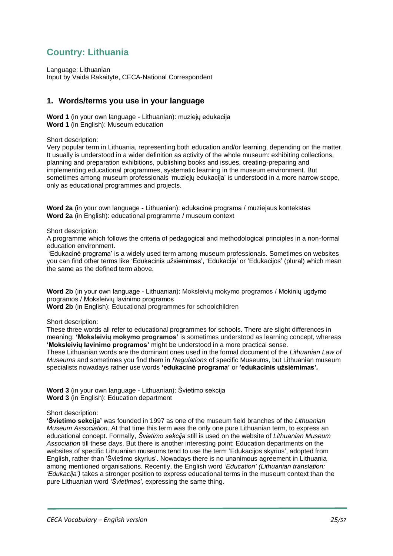# <span id="page-24-0"></span>**Country: Lithuania**

Language: Lithuanian Input by Vaida Rakaityte, CECA-National Correspondent

## **1. Words/terms you use in your language**

**Word 1** (in your own language - Lithuanian): muziejų edukacija **Word 1** (in English): Museum education

Short description:

Very popular term in Lithuania, representing both education and/or learning, depending on the matter. It usually is understood in a wider definition as activity of the whole museum: exhibiting collections, planning and preparation exhibitions, publishing books and issues, creating-preparing and implementing educational programmes, systematic learning in the museum environment. But sometimes among museum professionals 'muziejų edukacija' is understood in a more narrow scope, only as educational programmes and projects.

**Word 2a** (in your own language - Lithuanian): edukacinė programa / muziejaus kontekstas **Word 2a** (in English): educational programme / museum context

Short description:

A programme which follows the criteria of pedagogical and methodological principles in a non-formal education environment.

'Edukacinė programa' is a widely used term among museum professionals. Sometimes on websites you can find other terms like 'Edukacinis užsiėmimas', 'Edukacija' or 'Edukacijos' (plural) which mean the same as the defined term above.

**Word 2b** (in your own language - Lithuanian): Moksleivių mokymo programos / Mokinių ugdymo programos / Moksleivių lavinimo programos

**Word 2b** (in English): Educational programmes for schoolchildren

Short description:

These three words all refer to educational programmes for schools. There are slight differences in meaning: **'Moksleivių mokymo programos'** is sometimes understood as learning concept, whereas **'Moksleivių lavinimo programos'** might be understood in a more practical sense. These Lithuanian words are the dominant ones used in the formal document of the *Lithuanian Law of Museums* and sometimes you find them in *Regulations* of specific Museums, but Lithuanian museum

specialists nowadays rather use words **'edukacinė programa'** or **'edukacinis užsiėmimas'***.*

**Word 3** (in your own language - Lithuanian): Švietimo sekcija **Word 3** (in English): Education department

Short description:

**'Švietimo sekcija'** was founded in 1997 as one of the museum field branches of the *Lithuanian Museum Association*. At that time this term was the only one pure Lithuanian term, to express an educational concept. Formally, *Švietimo sekcija* still is used on the website of *Lithuanian Museum Association* till these days. But there is another interesting point: Education departments on the websites of specific Lithuanian museums tend to use the term 'Edukacijos skyrius', adopted from English, rather than 'Švietimo skyrius'. Nowadays there is no unanimous agreement in Lithuania among mentioned organisations. Recently, the English word *'Education' (Lithuanian translation: 'Edukacija')* takes a stronger position to express educational terms in the museum context than the pure Lithuanian word *'Švietimas',* expressing the same thing.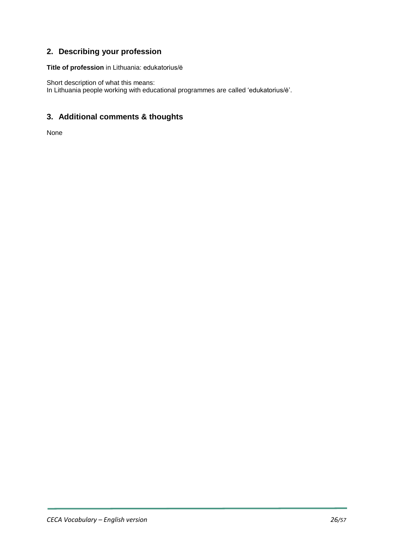# **2. Describing your profession**

**Title of profession** in Lithuania: edukatorius/ė

Short description of what this means: In Lithuania people working with educational programmes are called 'edukatorius/ė'.

# **3. Additional comments & thoughts**

None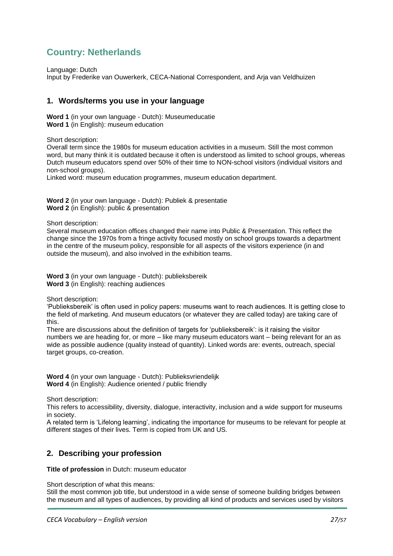# <span id="page-26-0"></span>**Country: Netherlands**

Language: Dutch

Input by Frederike van Ouwerkerk, CECA-National Correspondent, and Arja van Veldhuizen

## **1. Words/terms you use in your language**

**Word 1** (in your own language - Dutch): Museumeducatie **Word 1** (in English): museum education

Short description:

Overall term since the 1980s for museum education activities in a museum. Still the most common word, but many think it is outdated because it often is understood as limited to school groups, whereas Dutch museum educators spend over 50% of their time to NON-school visitors (individual visitors and non-school groups).

Linked word: museum education programmes, museum education department.

**Word 2** (in your own language - Dutch): Publiek & presentatie **Word 2** (in English): public & presentation

Short description:

Several museum education offices changed their name into Public & Presentation. This reflect the change since the 1970s from a fringe activity focused mostly on school groups towards a department in the centre of the museum policy, responsible for all aspects of the visitors experience (in and outside the museum), and also involved in the exhibition teams.

**Word 3** (in your own language - Dutch): publieksbereik **Word 3** (in English): reaching audiences

Short description:

'Publieksbereik' is often used in policy papers: museums want to reach audiences. It is getting close to the field of marketing. And museum educators (or whatever they are called today) are taking care of this.

There are discussions about the definition of targets for 'publieksbereik': is it raising the visitor numbers we are heading for, or more – like many museum educators want – being relevant for an as wide as possible audience (quality instead of quantity). Linked words are: events, outreach, special target groups, co-creation.

**Word 4** (in your own language - Dutch): Publieksvriendelijk **Word 4** (in English): Audience oriented / public friendly

Short description:

This refers to accessibility, diversity, dialogue, interactivity, inclusion and a wide support for museums in society.

A related term is 'Lifelong learning', indicating the importance for museums to be relevant for people at different stages of their lives. Term is copied from UK and US.

# **2. Describing your profession**

**Title of profession** in Dutch: museum educator

Short description of what this means:

Still the most common job title, but understood in a wide sense of someone building bridges between the museum and all types of audiences, by providing all kind of products and services used by visitors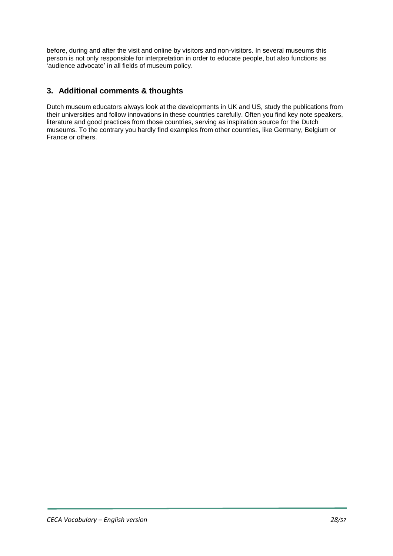before, during and after the visit and online by visitors and non-visitors. In several museums this person is not only responsible for interpretation in order to educate people, but also functions as 'audience advocate' in all fields of museum policy.

# **3. Additional comments & thoughts**

Dutch museum educators always look at the developments in UK and US, study the publications from their universities and follow innovations in these countries carefully. Often you find key note speakers, literature and good practices from those countries, serving as inspiration source for the Dutch museums. To the contrary you hardly find examples from other countries, like Germany, Belgium or France or others.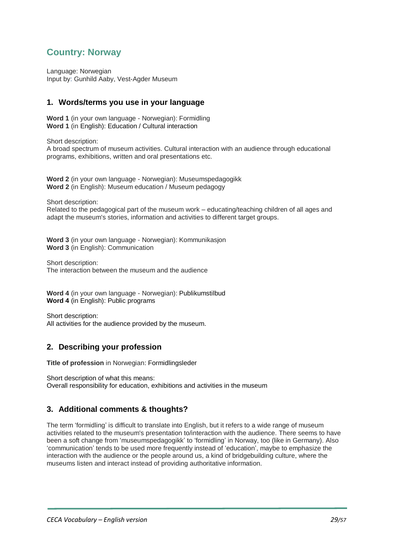# <span id="page-28-0"></span>**Country: Norway**

Language: Norwegian Input by: Gunhild Aaby, Vest-Agder Museum

## **1. Words/terms you use in your language**

**Word 1** (in your own language - Norwegian): Formidling **Word 1** (in English): Education / Cultural interaction

Short description:

A broad spectrum of museum activities. Cultural interaction with an audience through educational programs, exhibitions, written and oral presentations etc.

**Word 2** (in your own language - Norwegian): Museumspedagogikk **Word 2** (in English): Museum education / Museum pedagogy

Short description:

Related to the pedagogical part of the museum work – educating/teaching children of all ages and adapt the museum's stories, information and activities to different target groups.

**Word 3** (in your own language - Norwegian): Kommunikasjon **Word 3** (in English): Communication

Short description: The interaction between the museum and the audience

**Word 4** (in your own language - Norwegian): Publikumstilbud **Word 4** (in English): Public programs

Short description: All activities for the audience provided by the museum.

# **2. Describing your profession**

**Title of profession** in Norwegian: Formidlingsleder

Short description of what this means: Overall responsibility for education, exhibitions and activities in the museum

# **3. Additional comments & thoughts?**

The term 'formidling' is difficult to translate into English, but it refers to a wide range of museum activities related to the museum's presentation to/interaction with the audience. There seems to have been a soft change from 'museumspedagogikk' to 'formidling' in Norway, too (like in Germany). Also 'communication' tends to be used more frequently instead of 'education', maybe to emphasize the interaction with the audience or the people around us, a kind of bridgebuilding culture, where the museums listen and interact instead of providing authoritative information.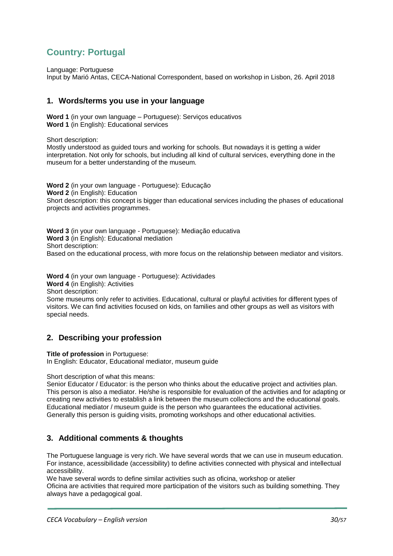# <span id="page-29-0"></span>**Country: Portugal**

Language: Portuguese

Input by Marió Antas, CECA-National Correspondent, based on workshop in Lisbon, 26. April 2018

## **1. Words/terms you use in your language**

**Word 1** (in your own language – Portuguese): Serviços educativos **Word 1** (in English): Educational services

Short description:

Mostly understood as guided tours and working for schools. But nowadays it is getting a wider interpretation. Not only for schools, but including all kind of cultural services, everything done in the museum for a better understanding of the museum.

**Word 2** (in your own language - Portuguese): Educação **Word 2** (in English): Education Short description: this concept is bigger than educational services including the phases of educational projects and activities programmes.

**Word 3** (in your own language - Portuguese): Mediação educativa **Word 3** (in English): Educational mediation Short description: Based on the educational process, with more focus on the relationship between mediator and visitors.

**Word 4** (in your own language - Portuguese): Actividades

**Word 4** (in English): Activities

Short description:

Some museums only refer to activities. Educational, cultural or playful activities for different types of visitors. We can find activities focused on kids, on families and other groups as well as visitors with special needs.

# **2. Describing your profession**

**Title of profession** in Portuguese:

In English: Educator, Educational mediator, museum guide

Short description of what this means:

Senior Educator / Educator: is the person who thinks about the educative project and activities plan. This person is also a mediator. He/she is responsible for evaluation of the activities and for adapting or creating new activities to establish a link between the museum collections and the educational goals. Educational mediator / museum guide is the person who guarantees the educational activities. Generally this person is guiding visits, promoting workshops and other educational activities.

# **3. Additional comments & thoughts**

The Portuguese language is very rich. We have several words that we can use in museum education. For instance, acessibilidade (accessibility) to define activities connected with physical and intellectual accessibility.

We have several words to define similar activities such as oficina, workshop or atelier Oficina are activities that required more participation of the visitors such as building something. They always have a pedagogical goal.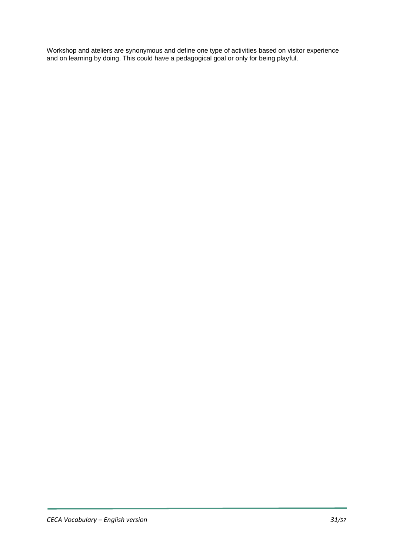Workshop and ateliers are synonymous and define one type of activities based on visitor experience and on learning by doing. This could have a pedagogical goal or only for being playful.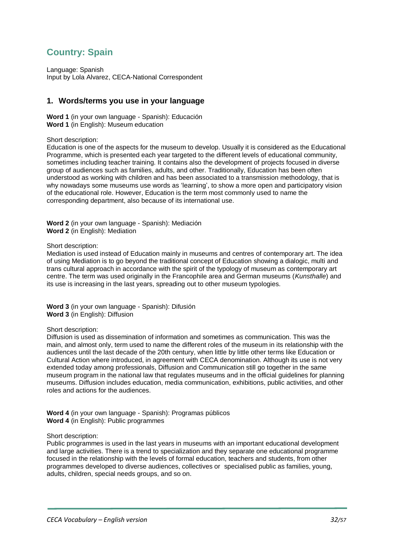# <span id="page-31-0"></span>**Country: Spain**

Language: Spanish Input by Lola Alvarez, CECA-National Correspondent

## **1. Words/terms you use in your language**

**Word 1** (in your own language - Spanish): Educación **Word 1** (in English): Museum education

Short description:

Education is one of the aspects for the museum to develop. Usually it is considered as the Educational Programme, which is presented each year targeted to the different levels of educational community, sometimes including teacher training. It contains also the development of projects focused in diverse group of audiences such as families, adults, and other. Traditionally, Education has been often understood as working with children and has been associated to a transmission methodology, that is why nowadays some museums use words as 'learning', to show a more open and participatory vision of the educational role. However, Education is the term most commonly used to name the corresponding department, also because of its international use.

**Word 2** (in your own language - Spanish): Mediación **Word 2** (in English): Mediation

#### Short description:

Mediation is used instead of Education mainly in museums and centres of contemporary art. The idea of using Mediation is to go beyond the traditional concept of Education showing a dialogic, multi and trans cultural approach in accordance with the spirit of the typology of museum as contemporary art centre. The term was used originally in the Francophile area and German museums (*Kunsthalle*) and its use is increasing in the last years, spreading out to other museum typologies.

**Word 3** (in your own language - Spanish): Difusión **Word 3** (in English): Diffusion

#### Short description:

Diffusion is used as dissemination of information and sometimes as communication. This was the main, and almost only, term used to name the different roles of the museum in its relationship with the audiences until the last decade of the 20th century, when little by little other terms like Education or Cultural Action where introduced, in agreement with CECA denomination. Although its use is not very extended today among professionals, Diffusion and Communication still go together in the same museum program in the national law that regulates museums and in the official guidelines for planning museums. Diffusion includes education, media communication, exhibitions, public activities, and other roles and actions for the audiences.

**Word 4** (in your own language - Spanish): Programas públicos **Word 4** (in English): Public programmes

#### Short description:

Public programmes is used in the last years in museums with an important educational development and large activities. There is a trend to specialization and they separate one educational programme focused in the relationship with the levels of formal education, teachers and students, from other programmes developed to diverse audiences, collectives or specialised public as families, young, adults, children, special needs groups, and so on.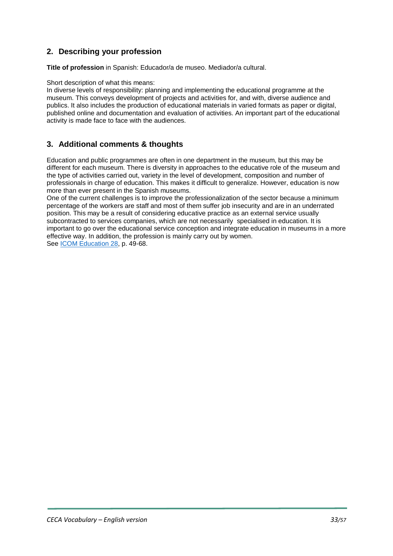# **2. Describing your profession**

**Title of profession** in Spanish: Educador/a de museo. Mediador/a cultural.

#### Short description of what this means:

In diverse levels of responsibility: planning and implementing the educational programme at the museum. This conveys development of projects and activities for, and with, diverse audience and publics. It also includes the production of educational materials in varied formats as paper or digital, published online and documentation and evaluation of activities. An important part of the educational activity is made face to face with the audiences.

# **3. Additional comments & thoughts**

Education and public programmes are often in one department in the museum, but this may be different for each museum. There is diversity in approaches to the educative role of the museum and the type of activities carried out, variety in the level of development, composition and number of professionals in charge of education. This makes it difficult to generalize. However, education is now more than ever present in the Spanish museums.

One of the current challenges is to improve the professionalization of the sector because a minimum percentage of the workers are staff and most of them suffer job insecurity and are in an underrated position. This may be a result of considering educative practice as an external service usually subcontracted to services companies, which are not necessarily specialised in education. It is important to go over the educational service conception and integrate education in museums in a more effective way. In addition, the profession is mainly carry out by women. See [ICOM Education 28,](https://drive.google.com/file/d/1EErtwOgLOiMfKe7cOBBAFWINIvPTmoAy/view) p. 49-68.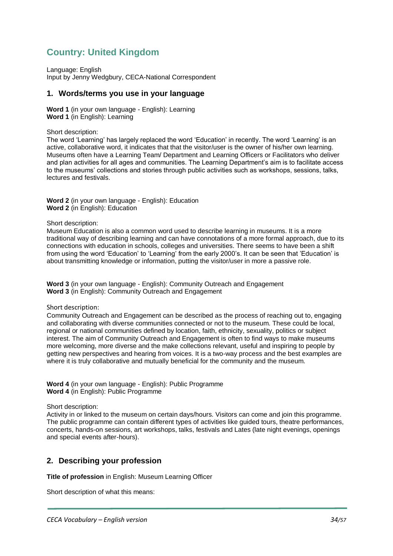# <span id="page-33-0"></span>**Country: United Kingdom**

Language: English Input by Jenny Wedgbury, CECA-National Correspondent

#### **1. Words/terms you use in your language**

**Word 1** (in your own language - English): Learning **Word 1** (in English): Learning

Short description:

The word 'Learning' has largely replaced the word 'Education' in recently. The word 'Learning' is an active, collaborative word, it indicates that that the visitor/user is the owner of his/her own learning. Museums often have a Learning Team/ Department and Learning Officers or Facilitators who deliver and plan activities for all ages and communities. The Learning Department's aim is to facilitate access to the museums' collections and stories through public activities such as workshops, sessions, talks, lectures and festivals.

**Word 2** (in your own language - English): Education **Word 2** (in English): Education

Short description:

Museum Education is also a common word used to describe learning in museums. It is a more traditional way of describing learning and can have connotations of a more formal approach, due to its connections with education in schools, colleges and universities. There seems to have been a shift from using the word 'Education' to 'Learning' from the early 2000's. It can be seen that 'Education' is about transmitting knowledge or information, putting the visitor/user in more a passive role.

**Word 3** (in your own language - English): Community Outreach and Engagement **Word 3** (in English): Community Outreach and Engagement

Short description:

Community Outreach and Engagement can be described as the process of reaching out to, engaging and collaborating with diverse communities connected or not to the museum. These could be local, regional or national communities defined by location, faith, ethnicity, sexuality, politics or subject interest. The aim of Community Outreach and Engagement is often to find ways to make museums more welcoming, more diverse and the make collections relevant, useful and inspiring to people by getting new perspectives and hearing from voices. It is a two-way process and the best examples are where it is truly collaborative and mutually beneficial for the community and the museum.

**Word 4** (in your own language - English): Public Programme **Word 4** (in English): Public Programme

Short description:

Activity in or linked to the museum on certain days/hours. Visitors can come and join this programme. The public programme can contain different types of activities like guided tours, theatre performances, concerts, hands-on sessions, art workshops, talks, festivals and Lates (late night evenings, openings and special events after-hours).

# **2. Describing your profession**

**Title of profession** in English: Museum Learning Officer

Short description of what this means: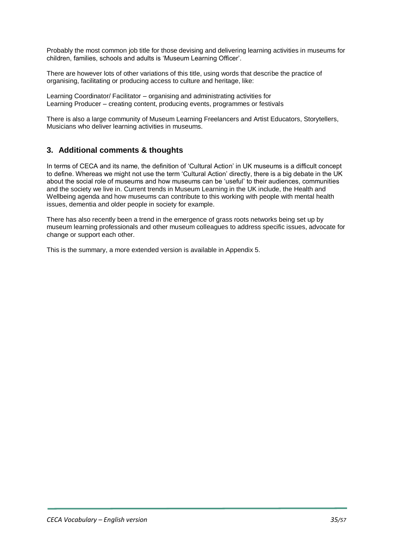Probably the most common job title for those devising and delivering learning activities in museums for children, families, schools and adults is 'Museum Learning Officer'.

There are however lots of other variations of this title, using words that describe the practice of organising, facilitating or producing access to culture and heritage, like:

Learning Coordinator/ Facilitator – organising and administrating activities for Learning Producer – creating content, producing events, programmes or festivals

There is also a large community of Museum Learning Freelancers and Artist Educators, Storytellers, Musicians who deliver learning activities in museums.

# **3. Additional comments & thoughts**

In terms of CECA and its name, the definition of 'Cultural Action' in UK museums is a difficult concept to define. Whereas we might not use the term 'Cultural Action' directly, there is a big debate in the UK about the social role of museums and how museums can be 'useful' to their audiences, communities and the society we live in. Current trends in Museum Learning in the UK include, the Health and Wellbeing agenda and how museums can contribute to this working with people with mental health issues, dementia and older people in society for example.

There has also recently been a trend in the emergence of grass roots networks being set up by museum learning professionals and other museum colleagues to address specific issues, advocate for change or support each other.

This is the summary, a more extended version is available in Appendix 5.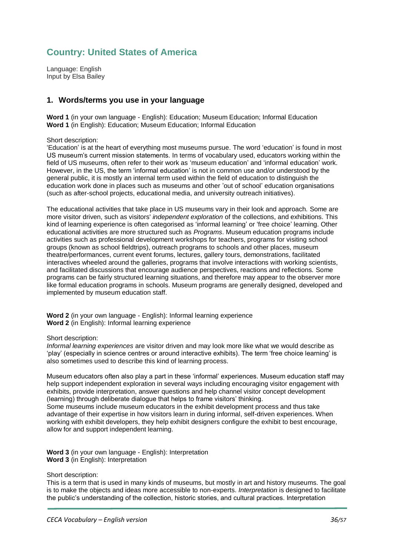# <span id="page-35-0"></span>**Country: United States of America**

Language: English Input by Elsa Bailey

## **1. Words/terms you use in your language**

**Word 1** (in your own language - English): Education; Museum Education; Informal Education **Word 1** (in English): Education; Museum Education; Informal Education

Short description:

'Education' is at the heart of everything most museums pursue. The word 'education' is found in most US museum's current mission statements. In terms of vocabulary used, educators working within the field of US museums, often refer to their work as 'museum education' and 'informal education' work. However, in the US, the term 'informal education' is not in common use and/or understood by the general public, it is mostly an internal term used within the field of education to distinguish the education work done in places such as museums and other 'out of school' education organisations (such as after-school projects, educational media, and university outreach initiatives).

The educational activities that take place in US museums vary in their look and approach. Some are more visitor driven, such as visitors' *independent exploration* of the collections, and exhibitions. This kind of learning experience is often categorised as 'informal learning' or 'free choice' learning. Other educational activities are more structured such as *Programs*. Museum education programs include activities such as professional development workshops for teachers, programs for visiting school groups (known as school fieldtrips), outreach programs to schools and other places, museum theatre/performances, current event forums, lectures, gallery tours, demonstrations, facilitated interactives wheeled around the galleries, programs that involve interactions with working scientists, and facilitated discussions that encourage audience perspectives, reactions and reflections. Some programs can be fairly structured learning situations, and therefore may appear to the observer more like formal education programs in schools. Museum programs are generally designed, developed and implemented by museum education staff.

**Word 2** (in your own language - English): Informal learning experience **Word 2** (in English): Informal learning experience

#### Short description:

*Informal learning experiences* are visitor driven and may look more like what we would describe as 'play' (especially in science centres or around interactive exhibits). The term 'free choice learning' is also sometimes used to describe this kind of learning process.

Museum educators often also play a part in these 'informal' experiences. Museum education staff may help support independent exploration in several ways including encouraging visitor engagement with exhibits, provide interpretation, answer questions and help channel visitor concept development (learning) through deliberate dialogue that helps to frame visitors' thinking. Some museums include museum educators in the exhibit development process and thus take advantage of their expertise in how visitors learn in during informal, self-driven experiences. When working with exhibit developers, they help exhibit designers configure the exhibit to best encourage,

**Word 3** (in your own language - English): Interpretation **Word 3** (in English): Interpretation

allow for and support independent learning.

Short description:

This is a term that is used in many kinds of museums, but mostly in art and history museums. The goal is to make the objects and ideas more accessible to non-experts. *Interpretation* is designed to facilitate the public's understanding of the collection, historic stories, and cultural practices. Interpretation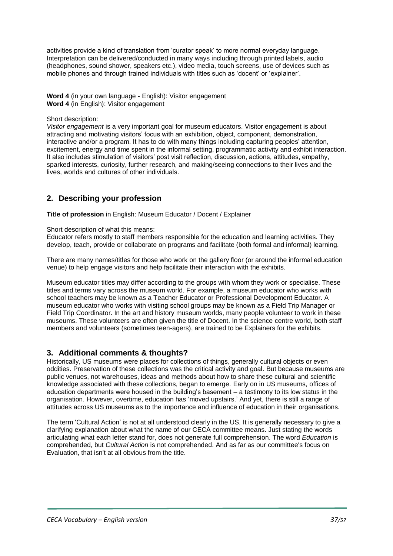activities provide a kind of translation from 'curator speak' to more normal everyday language. Interpretation can be delivered/conducted in many ways including through printed labels, audio (headphones, sound shower, speakers etc.), video media, touch screens, use of devices such as mobile phones and through trained individuals with titles such as 'docent' or 'explainer'.

**Word 4** (in your own language - English): Visitor engagement **Word 4** (in English): Visitor engagement

#### Short description:

*Visitor engagement* is a very important goal for museum educators. Visitor engagement is about attracting and motivating visitors' focus with an exhibition, object, component, demonstration, interactive and/or a program. It has to do with many things including capturing peoples' attention, excitement, energy and time spent in the informal setting, programmatic activity and exhibit interaction. It also includes stimulation of visitors' post visit reflection, discussion, actions, attitudes, empathy, sparked interests, curiosity, further research, and making/seeing connections to their lives and the lives, worlds and cultures of other individuals.

# **2. Describing your profession**

**Title of profession** in English: Museum Educator / Docent / Explainer

#### Short description of what this means:

Educator refers mostly to staff members responsible for the education and learning activities. They develop, teach, provide or collaborate on programs and facilitate (both formal and informal) learning.

There are many names/titles for those who work on the gallery floor (or around the informal education venue) to help engage visitors and help facilitate their interaction with the exhibits.

Museum educator titles may differ according to the groups with whom they work or specialise. These titles and terms vary across the museum world. For example, a museum educator who works with school teachers may be known as a Teacher Educator or Professional Development Educator. A museum educator who works with visiting school groups may be known as a Field Trip Manager or Field Trip Coordinator. In the art and history museum worlds, many people volunteer to work in these museums. These volunteers are often given the title of Docent. In the science centre world, both staff members and volunteers (sometimes teen-agers), are trained to be Explainers for the exhibits.

# **3. Additional comments & thoughts?**

Historically, US museums were places for collections of things, generally cultural objects or even oddities. Preservation of these collections was the critical activity and goal. But because museums are public venues, not warehouses, ideas and methods about how to share these cultural and scientific knowledge associated with these collections, began to emerge. Early on in US museums, offices of education departments were housed in the building's basement – a testimony to its low status in the organisation. However, overtime, education has 'moved upstairs.' And yet, there is still a range of attitudes across US museums as to the importance and influence of education in their organisations.

The term 'Cultural Action' is not at all understood clearly in the US. It is generally necessary to give a clarifying explanation about what the name of our CECA committee means. Just stating the words articulating what each letter stand for, does not generate full comprehension. The word *Education* is comprehended, but *Cultural Action* is not comprehended. And as far as our committee's focus on Evaluation, that isn't at all obvious from the title.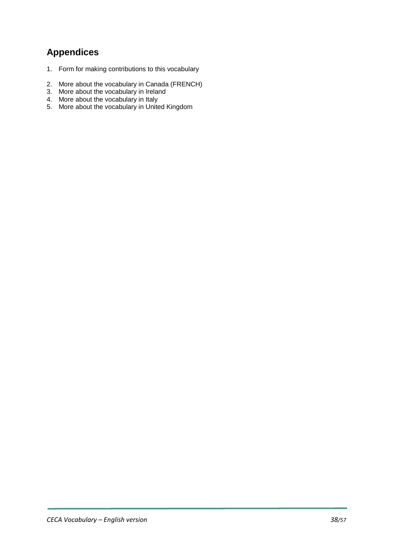# **Appendices**

- 1. Form for making contributions to this vocabulary
- 2. More about the vocabulary in Canada (FRENCH)
- 3. More about the vocabulary in Ireland
- 4. More about the vocabulary in Italy
- 5. More about the vocabulary in United Kingdom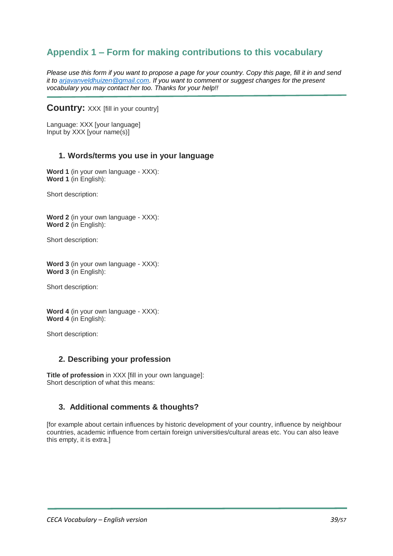# <span id="page-38-0"></span>**Appendix 1 – Form for making contributions to this vocabulary**

*Please use this form if you want to propose a page for your country. Copy this page, fill it in and send it to [arjavanveldhuizen@gmail.com.](mailto:arjavanveldhuizen@gmail.com) If you want to comment or suggest changes for the present vocabulary you may contact her too. Thanks for your help!!*

## **Country: XXX [fill in your country]**

Language: XXX [your language] Input by XXX [your name(s)]

#### **1. Words/terms you use in your language**

**Word 1** (in your own language - XXX): **Word 1** (in English):

Short description:

**Word 2** (in your own language - XXX): **Word 2** (in English):

Short description:

**Word 3** (in your own language - XXX): **Word 3** (in English):

Short description:

**Word 4** (in your own language - XXX): **Word 4** (in English):

Short description:

#### **2. Describing your profession**

**Title of profession** in XXX [fill in your own language]: Short description of what this means:

#### **3. Additional comments & thoughts?**

[for example about certain influences by historic development of your country, influence by neighbour countries, academic influence from certain foreign universities/cultural areas etc. You can also leave this empty, it is extra.]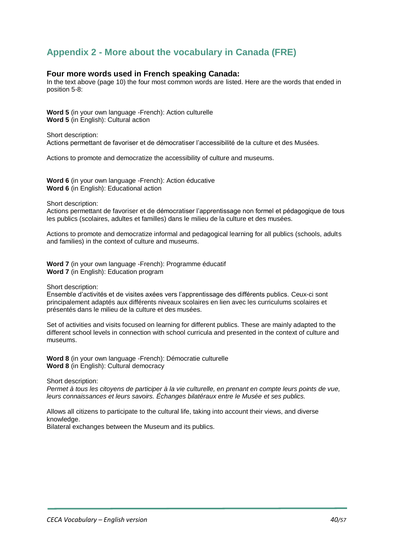# <span id="page-39-0"></span>**Appendix 2 - More about the vocabulary in Canada (FRE)**

#### **Four more words used in French speaking Canada:**

In the text above (page 10) the four most common words are listed. Here are the words that ended in position 5-8:

**Word 5** (in your own language -French): Action culturelle **Word 5** (in English): Cultural action

Short description: Actions permettant de favoriser et de démocratiser l'accessibilité de la culture et des Musées.

Actions to promote and democratize the accessibility of culture and museums.

**Word 6** (in your own language -French): Action éducative **Word 6** (in English): Educational action

Short description:

Actions permettant de favoriser et de démocratiser l'apprentissage non formel et pédagogique de tous les publics (scolaires, adultes et familles) dans le milieu de la culture et des musées.

Actions to promote and democratize informal and pedagogical learning for all publics (schools, adults and families) in the context of culture and museums.

**Word 7** (in your own language -French): Programme éducatif **Word 7** (in English): Education program

Short description:

Ensemble d'activités et de visites axées vers l'apprentissage des différents publics. Ceux-ci sont principalement adaptés aux différents niveaux scolaires en lien avec les curriculums scolaires et présentés dans le milieu de la culture et des musées.

Set of activities and visits focused on learning for different publics. These are mainly adapted to the different school levels in connection with school curricula and presented in the context of culture and museums.

**Word 8** (in your own language -French): Démocratie culturelle **Word 8** (in English): Cultural democracy

Short description:

*Permet à tous les citoyens de participer à la vie culturelle, en prenant en compte leurs points de vue, leurs connaissances et leurs savoirs. Échanges bilatéraux entre le Musée et ses publics.*

Allows all citizens to participate to the cultural life, taking into account their views, and diverse knowledge.

Bilateral exchanges between the Museum and its publics.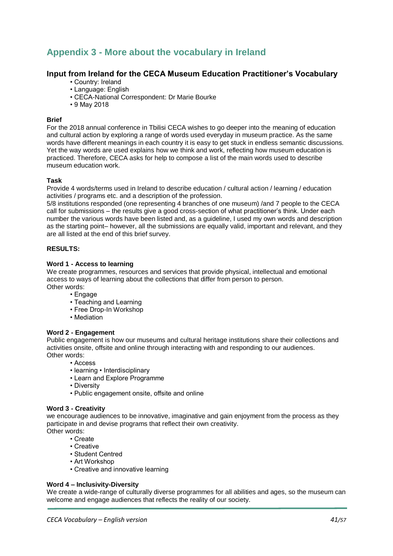# <span id="page-40-0"></span>**Appendix 3 - More about the vocabulary in Ireland**

## **Input from Ireland for the CECA Museum Education Practitioner's Vocabulary**

- Country: Ireland
- Language: English
- CECA-National Correspondent: Dr Marie Bourke
- 9 May 2018

#### **Brief**

For the 2018 annual conference in Tbilisi CECA wishes to go deeper into the meaning of education and cultural action by exploring a range of words used everyday in museum practice. As the same words have different meanings in each country it is easy to get stuck in endless semantic discussions. Yet the way words are used explains how we think and work, reflecting how museum education is practiced. Therefore, CECA asks for help to compose a list of the main words used to describe museum education work.

#### **Task**

Provide 4 words/terms used in Ireland to describe education / cultural action / learning / education activities / programs etc. and a description of the profession.

5/8 institutions responded (one representing 4 branches of one museum) /and 7 people to the CECA call for submissions – the results give a good cross-section of what practitioner's think. Under each number the various words have been listed and, as a guideline, I used my own words and description as the starting point– however, all the submissions are equally valid, important and relevant, and they are all listed at the end of this brief survey.

#### **RESULTS:**

#### **Word 1 - Access to learning**

We create programmes, resources and services that provide physical, intellectual and emotional access to ways of learning about the collections that differ from person to person. Other words:

- Engage
- Teaching and Learning
- Free Drop-In Workshop
- Mediation

#### **Word 2 - Engagement**

Public engagement is how our museums and cultural heritage institutions share their collections and activities onsite, offsite and online through interacting with and responding to our audiences. Other words:

- Access
- learning Interdisciplinary
- Learn and Explore Programme
- Diversity
- Public engagement onsite, offsite and online

#### **Word 3 - Creativity**

we encourage audiences to be innovative, imaginative and gain enjoyment from the process as they participate in and devise programs that reflect their own creativity. Other words:

- Create
	- Creative
- Student Centred
- Art Workshop
- Creative and innovative learning

#### **Word 4 – Inclusivity-Diversity**

We create a wide-range of culturally diverse programmes for all abilities and ages, so the museum can welcome and engage audiences that reflects the reality of our society.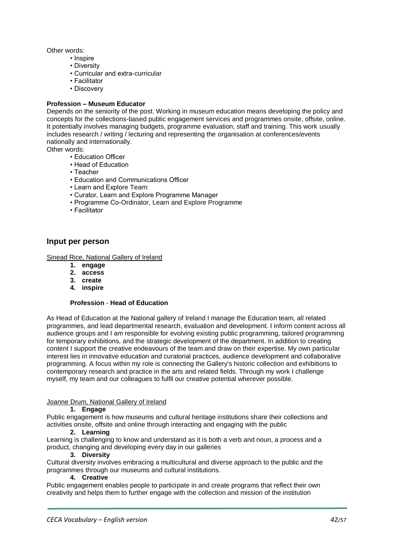Other words:

- Inspire
- Diversity
- Curricular and extra-curricular
- Facilitator
- Discovery

#### **Profession – Museum Educator**

Depends on the seniority of the post. Working in museum education means developing the policy and concepts for the collections-based public engagement services and programmes onsite, offsite, online. It potentially involves managing budgets, programme evaluation, staff and training. This work usually includes research / writing / lecturing and representing the organisation at conferences/events nationally and internationally.

Other words:

- Education Officer
- Head of Education
- Teacher
- Education and Communications Officer
- Learn and Explore Team:
- Curator, Learn and Explore Programme Manager
- Programme Co-Ordinator, Learn and Explore Programme
- Facilitator

#### **Input per person**

#### Sinead Rice, National Gallery of Ireland

- **1. engage**
- **2. access**
- **3. create**
- **4. inspire**

#### **Profession** - **Head of Education**

As Head of Education at the National gallery of Ireland I manage the Education team, all related programmes, and lead departmental research, evaluation and development. I inform content across all audience groups and I am responsible for evolving existing public programming, tailored programming for temporary exhibitions, and the strategic development of the department. In addition to creating content I support the creative endeavours of the team and draw on their expertise. My own particular interest lies in innovative education and curatorial practices, audience development and collaborative programming. A focus within my role is connecting the Gallery's historic collection and exhibitions to contemporary research and practice in the arts and related fields. Through my work I challenge myself, my team and our colleagues to fulfil our creative potential wherever possible.

#### Joanne Drum, National Gallery of Ireland

#### **1. Engage**

Public engagement is how museums and cultural heritage institutions share their collections and activities onsite, offsite and online through interacting and engaging with the public

#### **2. Learning**

Learning is challenging to know and understand as it is both a verb and noun, a process and a product, changing and developing every day in our galleries

#### **3. Diversity**

Cultural diversity involves embracing a multicultural and diverse approach to the public and the programmes through our museums and cultural institutions.

#### **4. Creative**

Public engagement enables people to participate in and create programs that reflect their own creativity and helps them to further engage with the collection and mission of the institution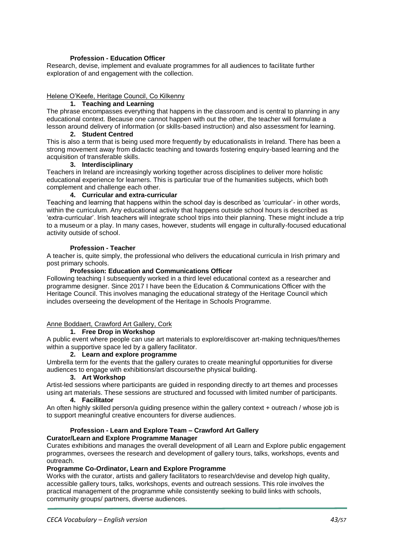#### **Profession - Education Officer**

Research, devise, implement and evaluate programmes for all audiences to facilitate further exploration of and engagement with the collection.

#### Helene O'Keefe, Heritage Council, Co Kilkenny

#### **1. Teaching and Learning**

The phrase encompasses everything that happens in the classroom and is central to planning in any educational context. Because one cannot happen with out the other, the teacher will formulate a lesson around delivery of information (or skills-based instruction) and also assessment for learning.

#### **2. Student Centred**

This is also a term that is being used more frequently by educationalists in Ireland. There has been a strong movement away from didactic teaching and towards fostering enquiry-based learning and the acquisition of transferable skills.

#### **3. Interdisciplinary**

Teachers in Ireland are increasingly working together across disciplines to deliver more holistic educational experience for learners. This is particular true of the humanities subjects, which both complement and challenge each other.

#### **4. Curricular and extra-curricular**

Teaching and learning that happens within the school day is described as 'curricular'- in other words, within the curriculum. Any educational activity that happens outside school hours is described as 'extra-curricular'. Irish teachers will integrate school trips into their planning. These might include a trip to a museum or a play. In many cases, however, students will engage in culturally-focused educational activity outside of school.

#### **Profession - Teacher**

A teacher is, quite simply, the professional who delivers the educational curricula in Irish primary and post primary schools.

#### **Profession: Education and Communications Officer**

Following teaching I subsequently worked in a third level educational context as a researcher and programme designer. Since 2017 I have been the Education & Communications Officer with the Heritage Council. This involves managing the educational strategy of the Heritage Council which includes overseeing the development of the Heritage in Schools Programme.

#### Anne Boddaert, Crawford Art Gallery, Cork

#### **1. Free Drop in Workshop**

A public event where people can use art materials to explore/discover art-making techniques/themes within a supportive space led by a gallery facilitator.

#### **2. Learn and explore programme**

Umbrella term for the events that the gallery curates to create meaningful opportunities for diverse audiences to engage with exhibitions/art discourse/the physical building.

#### **3. Art Workshop**

Artist-led sessions where participants are guided in responding directly to art themes and processes using art materials. These sessions are structured and focussed with limited number of participants.

## **4. Facilitator**

An often highly skilled person/a guiding presence within the gallery context + outreach / whose job is to support meaningful creative encounters for diverse audiences.

# **Profession - Learn and Explore Team – Crawford Art Gallery**

## **Curator/Learn and Explore Programme Manager**

Curates exhibitions and manages the overall development of all Learn and Explore public engagement programmes, oversees the research and development of gallery tours, talks, workshops, events and outreach.

#### **Programme Co-Ordinator, Learn and Explore Programme**

Works with the curator, artists and gallery facilitators to research/devise and develop high quality, accessible gallery tours, talks, workshops, events and outreach sessions. This role involves the practical management of the programme while consistently seeking to build links with schools, community groups/ partners, diverse audiences.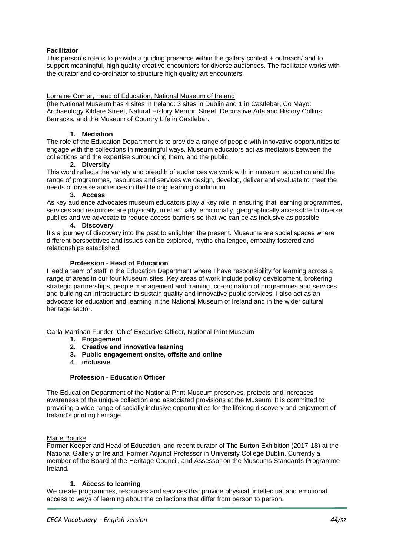#### **Facilitator**

This person's role is to provide a guiding presence within the gallery context + outreach/ and to support meaningful, high quality creative encounters for diverse audiences. The facilitator works with the curator and co-ordinator to structure high quality art encounters.

#### Lorraine Comer, Head of Education, National Museum of Ireland

(the National Museum has 4 sites in Ireland: 3 sites in Dublin and 1 in Castlebar, Co Mayo: Archaeology Kildare Street, Natural History Merrion Street, Decorative Arts and History Collins Barracks, and the Museum of Country Life in Castlebar.

#### **1. Mediation**

The role of the Education Department is to provide a range of people with innovative opportunities to engage with the collections in meaningful ways. Museum educators act as mediators between the collections and the expertise surrounding them, and the public.

#### **2. Diversity**

This word reflects the variety and breadth of audiences we work with in museum education and the range of programmes, resources and services we design, develop, deliver and evaluate to meet the needs of diverse audiences in the lifelong learning continuum.

#### **3. Access**

As key audience advocates museum educators play a key role in ensuring that learning programmes, services and resources are physically, intellectually, emotionally, geographically accessible to diverse publics and we advocate to reduce access barriers so that we can be as inclusive as possible

#### **4. Discovery**

It's a journey of discovery into the past to enlighten the present. Museums are social spaces where different perspectives and issues can be explored, myths challenged, empathy fostered and relationships established.

#### **Profession - Head of Education**

I lead a team of staff in the Education Department where I have responsibility for learning across a range of areas in our four Museum sites. Key areas of work include policy development, brokering strategic partnerships, people management and training, co-ordination of programmes and services and building an infrastructure to sustain quality and innovative public services. I also act as an advocate for education and learning in the National Museum of Ireland and in the wider cultural heritage sector.

#### Carla Marrinan Funder, Chief Executive Officer, National Print Museum

- **1. Engagement**
- **2. Creative and innovative learning**
- **3. Public engagement onsite, offsite and online**
- 4. **inclusive**

#### **Profession - Education Officer**

The Education Department of the National Print Museum preserves, protects and increases awareness of the unique collection and associated provisions at the Museum. It is committed to providing a wide range of socially inclusive opportunities for the lifelong discovery and enjoyment of Ireland's printing heritage.

#### Marie Bourke

Former Keeper and Head of Education, and recent curator of The Burton Exhibition (2017-18) at the National Gallery of Ireland. Former Adjunct Professor in University College Dublin. Currently a member of the Board of the Heritage Council, and Assessor on the Museums Standards Programme Ireland.

#### **1. Access to learning**

We create programmes, resources and services that provide physical, intellectual and emotional access to ways of learning about the collections that differ from person to person.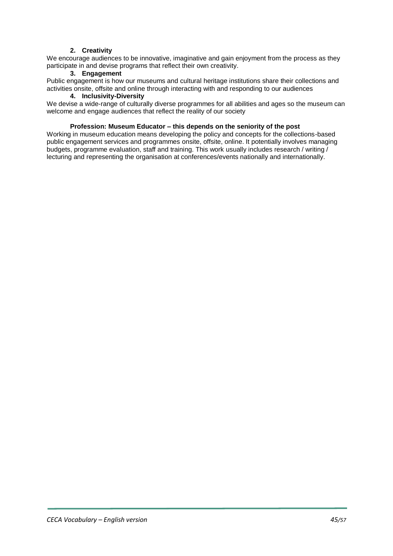#### **2. Creativity**

We encourage audiences to be innovative, imaginative and gain enjoyment from the process as they participate in and devise programs that reflect their own creativity.

#### **3. Engagement**

Public engagement is how our museums and cultural heritage institutions share their collections and activities onsite, offsite and online through interacting with and responding to our audiences

#### **4. Inclusivity-Diversity**

We devise a wide-range of culturally diverse programmes for all abilities and ages so the museum can welcome and engage audiences that reflect the reality of our society

#### **Profession: Museum Educator – this depends on the seniority of the post**

Working in museum education means developing the policy and concepts for the collections-based public engagement services and programmes onsite, offsite, online. It potentially involves managing budgets, programme evaluation, staff and training. This work usually includes research / writing / lecturing and representing the organisation at conferences/events nationally and internationally.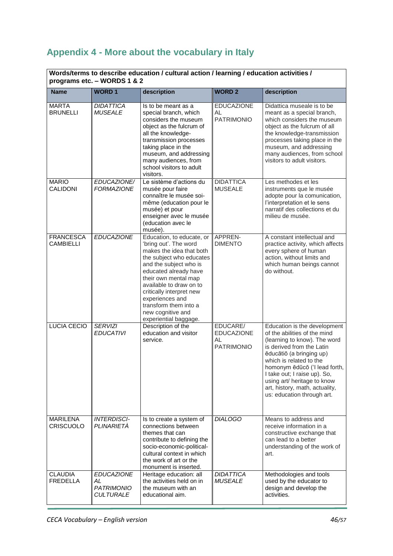# <span id="page-45-0"></span>**Appendix 4 - More about the vocabulary in Italy**

#### **Words/terms to describe education / cultural action / learning / education activities / programs etc. – WORDS 1 & 2**

| programs etc. – wurbs 1 & 2          |                                                                  |                                                                                                                                                                                                                                                                                                                                        |                                                          |                                                                                                                                                                                                                                                                                                                                                  |  |
|--------------------------------------|------------------------------------------------------------------|----------------------------------------------------------------------------------------------------------------------------------------------------------------------------------------------------------------------------------------------------------------------------------------------------------------------------------------|----------------------------------------------------------|--------------------------------------------------------------------------------------------------------------------------------------------------------------------------------------------------------------------------------------------------------------------------------------------------------------------------------------------------|--|
| <b>Name</b>                          | <b>WORD1</b>                                                     | description                                                                                                                                                                                                                                                                                                                            | <b>WORD 2</b>                                            | description                                                                                                                                                                                                                                                                                                                                      |  |
| <b>MARTA</b><br><b>BRUNELLI</b>      | <b>DIDATTICA</b><br><b>MUSEALE</b>                               | Is to be meant as a<br>special branch, which<br>considers the museum<br>object as the fulcrum of<br>all the knowledge-<br>transmission processes<br>taking place in the<br>museum, and addressing<br>many audiences, from<br>school visitors to adult<br>visitors.                                                                     | <b>EDUCAZIONE</b><br><b>AL</b><br><b>PATRIMONIO</b>      | Didattica museale is to be<br>meant as a special branch,<br>which considers the museum<br>object as the fulcrum of all<br>the knowledge-transmission<br>processes taking place in the<br>museum, and addressing<br>many audiences, from school<br>visitors to adult visitors.                                                                    |  |
| <b>MARIO</b><br>CALIDONI             | EDUCAZIONE/<br><b>FORMAZIONE</b>                                 | Le sistème d'actions du<br>musée pour faire<br>connaître le musée soi-<br>même (education pour le<br>musée) et pour<br>enseigner avec le musée<br>(education avec le<br>musée).                                                                                                                                                        | <b>DIDATTICA</b><br><b>MUSEALE</b>                       | Les methodes et les<br>instruments que le musée<br>adopte pour la comunication,<br>l'interpretation et le sens<br>narratif des collections et du<br>milieu de musée.                                                                                                                                                                             |  |
| <b>FRANCESCA</b><br><b>CAMBIELLI</b> | <b>EDUCAZIONE</b>                                                | Education, to educate, or<br>'bring out'. The word<br>makes the idea that both<br>the subject who educates<br>and the subject who is<br>educated already have<br>their own mental map<br>available to draw on to<br>critically interpret new<br>experiences and<br>transform them into a<br>new cognitive and<br>experiential baggage. | APPREN-<br><b>DIMENTO</b>                                | A constant intellectual and<br>practice activity, which affects<br>every sphere of human<br>action, without limits and<br>which human beings cannot<br>do without.                                                                                                                                                                               |  |
| <b>LUCIA CECIO</b>                   | <b>SERVIZI</b><br><b>EDUCATIVI</b>                               | Description of the<br>education and visitor<br>service.                                                                                                                                                                                                                                                                                | EDUCARE/<br><b>EDUCAZIONE</b><br>AL<br><b>PATRIMONIO</b> | Education is the development<br>of the abilities of the mind<br>(learning to know). The word<br>is derived from the Latin<br>ēducātiō (a bringing up)<br>which is related to the<br>homonym ēdūcō ('I lead forth,<br>I take out; I raise up). So,<br>using art/ heritage to know<br>art, history, math, actuality,<br>us: education through art. |  |
| <b>MARILENA</b><br>CRISCUOLO         | <b>INTERDISCI-</b><br>PLINARIETÀ                                 | Is to create a system of<br>connections between<br>themes that can<br>contribute to defining the<br>socio-economic-political-<br>cultural context in which<br>the work of art or the<br>monument is inserted.                                                                                                                          | <b>DIALOGO</b>                                           | Means to address and<br>receive information in a<br>constructive exchange that<br>can lead to a better<br>understanding of the work of<br>art.                                                                                                                                                                                                   |  |
| <b>CLAUDIA</b><br><b>FREDELLA</b>    | <b>EDUCAZIONE</b><br>AL<br><b>PATRIMONIO</b><br><b>CULTURALE</b> | Heritage education: all<br>the activities held on in<br>the museum with an<br>educational aim.                                                                                                                                                                                                                                         | <b>DIDATTICA</b><br><b>MUSEALE</b>                       | Methodologies and tools<br>used by the educator to<br>design and develop the<br>activities.                                                                                                                                                                                                                                                      |  |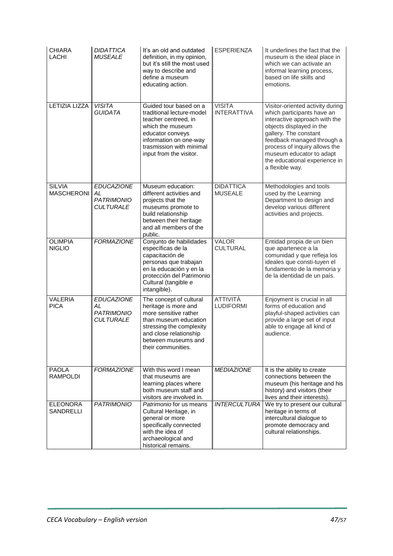| <b>CHIARA</b><br><b>LACHI</b>       | <b>DIDATTICA</b><br><b>MUSEALE</b>                               | It's an old and outdated<br>definition, in my opinion,<br>but it's still the most used<br>way to describe and<br>define a museum<br>educating action.                                                | <b>ESPERIENZA</b>                   | It underlines the fact that the<br>museum is the ideal place in<br>which we can activate an<br>informal learning process,<br>based on life skills and<br>emotions.                                                                                                                                  |
|-------------------------------------|------------------------------------------------------------------|------------------------------------------------------------------------------------------------------------------------------------------------------------------------------------------------------|-------------------------------------|-----------------------------------------------------------------------------------------------------------------------------------------------------------------------------------------------------------------------------------------------------------------------------------------------------|
| <b>LETIZIA LIZZA</b>                | <b>VISITA</b><br><b>GUIDATA</b>                                  | Guided tour based on a<br>traditional lecture-model<br>teacher centreed, in<br>which the museum<br>educator conveys<br>information on one-way<br>trasmission with minimal<br>input from the visitor. | <b>VISITA</b><br><b>INTERATTIVA</b> | Visitor-oriented activity during<br>which participants have an<br>interactive approach with the<br>objects displayed in the<br>gallery. The constant<br>feedback managed through a<br>process of inquiry allows the<br>museum educator to adapt<br>the educational experience in<br>a flexible way. |
| <b>SILVIA</b><br><b>MASCHERONI</b>  | <b>EDUCAZIONE</b><br>AL<br><b>PATRIMONIO</b><br><b>CULTURALE</b> | Museum education:<br>different activities and<br>projects that the<br>museums promote to<br>build relationship<br>between their heritage<br>and all members of the<br>public.                        | <b>DIDATTICA</b><br><b>MUSEALE</b>  | Methodologies and tools<br>used by the Learning<br>Department to design and<br>develop various different<br>activities and projects.                                                                                                                                                                |
| <b>OLIMPIA</b><br><b>NIGLIO</b>     | <b>FORMAZIONE</b>                                                | Conjunto de habilidades<br>específicas de la<br>capacitación de<br>personas que trabajan<br>en la educación y en la<br>protección del Patrimonio<br>Cultural (tangible e<br>intangible).             | <b>VALOR</b><br><b>CULTURAL</b>     | Entidad propia de un bien<br>que apartenece a la<br>comunidad y que refleja los<br>ideales que consti-tuyen el<br>fundamento de la memoria y<br>de la identidad de un país.                                                                                                                         |
| <b>VALERIA</b><br><b>PICA</b>       | <b>EDUCAZIONE</b><br>AL<br><b>PATRIMONIO</b><br><b>CULTURALE</b> | The concept of cultural<br>heritage is more and<br>more sensitive rather<br>than museum education<br>stressing the complexity<br>and close relationship<br>between museums and<br>their communities. | <b>ATTIVITÀ</b><br><b>LUDIFORMI</b> | Enjoyment is crucial in all<br>forms of education and<br>playful-shaped activities can<br>provide a large set of input<br>able to engage all kind of<br>audience.                                                                                                                                   |
| PAOLA<br><b>RAMPOLDI</b>            | <b>FORMAZIONE</b>                                                | With this word I mean<br>that museums are<br>learning places where<br>both museum staff and<br>visitors are involved in.                                                                             | <b>MEDIAZIONE</b>                   | It is the ability to create<br>connections between the<br>museum (his heritage and his<br>history) and visitors (their<br>lives and their interests).                                                                                                                                               |
| <b>ELEONORA</b><br><b>SANDRELLI</b> | <b>PATRIMONIO</b>                                                | Patrimonio for us means<br>Cultural Heritage, in<br>general or more<br>specifically connected<br>with the idea of<br>archaeological and<br>historical remains.                                       | <b>INTERCULTURA</b>                 | We try to present our cultural<br>heritage in terms of<br>intercultural dialogue to<br>promote democracy and<br>cultural relationships.                                                                                                                                                             |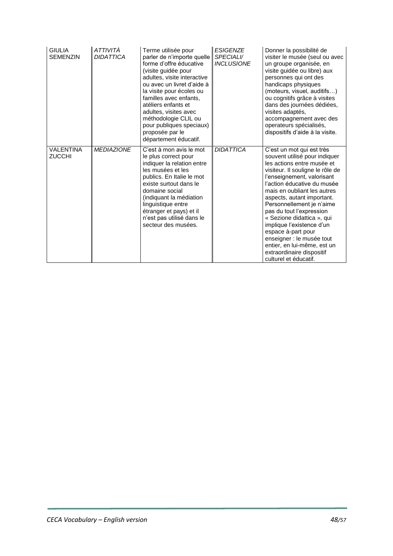| <b>GIULIA</b><br><b>SEMENZIN</b>  | ATTIVITÀ<br><b>DIDATTICA</b> | Terme utilisée pour<br>parler de n'importe quelle<br>forme d'offre éducative<br>(visite guidée pour<br>adultes, visite interactive<br>ou avec un livret d'aide à<br>la visite pour écoles ou<br>familles avec enfants,<br>atéliers enfants et<br>adultes, visites avec<br>méthodologie CLIL ou<br>pour publiques speciaux)<br>proposée par le<br>département éducatif. | <b>ESIGENZE</b><br><b>SPECIALI/</b><br><b>INCLUSIONE</b> | Donner la possibilité de<br>visiter le musée (seul ou avec<br>un groupe organisée, en<br>visite guidée ou libre) aux<br>personnes qui ont des<br>handicaps physiques<br>(moteurs, visuel, auditifs)<br>ou cognitifs grâce à visites<br>dans des journées dédiées,<br>visites adaptés.<br>accompagnement avec des<br>operateurs spécialisés,<br>dispositifs d'aide à la visite.                                                                                                                                     |
|-----------------------------------|------------------------------|------------------------------------------------------------------------------------------------------------------------------------------------------------------------------------------------------------------------------------------------------------------------------------------------------------------------------------------------------------------------|----------------------------------------------------------|--------------------------------------------------------------------------------------------------------------------------------------------------------------------------------------------------------------------------------------------------------------------------------------------------------------------------------------------------------------------------------------------------------------------------------------------------------------------------------------------------------------------|
| <b>VALENTINA</b><br><b>ZUCCHI</b> | <b>MEDIAZIONE</b>            | C'est à mon avis le mot<br>le plus correct pour<br>indiquer la relation entre<br>les musées et les<br>publics. En Italie le mot<br>existe surtout dans le<br>domaine social<br>(indiquant la médiation<br>linguistique entre<br>étranger et pays) et il<br>n'est pas utilisé dans le<br>secteur des musées.                                                            | <b>DIDATTICA</b>                                         | C'est un mot qui est très<br>souvent utilisé pour indiquer<br>les actions entre musée et<br>visiteur. Il souligne le rôle de<br>l'enseignement, valorisant<br>l'action éducative du musée<br>mais en oubliant les autres<br>aspects, autant important.<br>Personnellement je n'aime<br>pas du tout l'expression<br>« Sezione didattica », qui<br>implique l'existence d'un<br>espace à-part pour<br>enseigner : le musée tout<br>entier, en lui-même, est un<br>extraordinaire dispositif<br>culturel et éducatif. |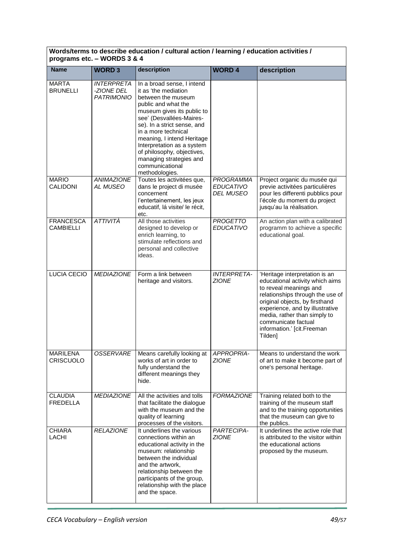| Words/terms to describe education / cultural action / learning / education activities /<br>programs etc. - WORDS 3 & 4 |                                                      |                                                                                                                                                                                                                                                                                                                                                                           |                                                          |                                                                                                                                                                                                                                                                                                      |
|------------------------------------------------------------------------------------------------------------------------|------------------------------------------------------|---------------------------------------------------------------------------------------------------------------------------------------------------------------------------------------------------------------------------------------------------------------------------------------------------------------------------------------------------------------------------|----------------------------------------------------------|------------------------------------------------------------------------------------------------------------------------------------------------------------------------------------------------------------------------------------------------------------------------------------------------------|
| <b>Name</b>                                                                                                            | <b>WORD3</b>                                         | description                                                                                                                                                                                                                                                                                                                                                               | <b>WORD 4</b>                                            | description                                                                                                                                                                                                                                                                                          |
| <b>MARTA</b><br><b>BRUNELLI</b>                                                                                        | <b>INTERPRETA</b><br>-ZIONE DEL<br><b>PATRIMONIO</b> | In a broad sense, I intend<br>it as 'the mediation<br>between the museum<br>public and what the<br>museum gives its public to<br>see' (Desvallées-Maires-<br>se). In a strict sense, and<br>in a more technical<br>meaning, I intend Heritage<br>Interpretation as a system<br>of philosophy, objectives,<br>managing strategies and<br>communicational<br>methodologies. |                                                          |                                                                                                                                                                                                                                                                                                      |
| <b>MARIO</b><br><b>CALIDONI</b>                                                                                        | <b>ANIMAZIONE</b><br>AL MUSEO                        | Toutes les activitées que,<br>dans le project di musée<br>concernent<br>l'entertainement, les jeux<br>educatif, lá visite/ le récit,<br>etc.                                                                                                                                                                                                                              | <b>PROGRAMMA</b><br><b>EDUCATIVO</b><br><b>DEL MUSEO</b> | Project organic du musée qui<br>previe activitées particulières<br>pour les differenti pubblics pour<br>l'école du moment du project<br>jusqu'au la réalisation.                                                                                                                                     |
| <b>FRANCESCA</b><br><b>CAMBIELLI</b>                                                                                   | ATTIVITÀ                                             | All those activities<br>designed to develop or<br>enrich learning, to<br>stimulate reflections and<br>personal and collective<br>ideas.                                                                                                                                                                                                                                   | <b>PROGETTO</b><br><b>EDUCATIVO</b>                      | An action plan with a calibrated<br>programm to achieve a specific<br>educational goal.                                                                                                                                                                                                              |
| LUCIA CECIO                                                                                                            | <b>MEDIAZIONE</b>                                    | Form a link between<br>heritage and visitors.                                                                                                                                                                                                                                                                                                                             | <b>INTERPRETA-</b><br><b>ZIONE</b>                       | 'Heritage interpretation is an<br>educational activity which aims<br>to reveal meanings and<br>relationships through the use of<br>original objects, by firsthand<br>experience, and by illustrative<br>media, rather than simply to<br>communicate factual<br>information.' [cit.Freeman<br>Tilden] |
| <b>MARILENA</b><br><b>CRISCUOLO</b>                                                                                    | <b>OSSERVARE</b>                                     | Means carefully looking at<br>works of art in order to<br>fully understand the<br>different meanings they<br>hide.                                                                                                                                                                                                                                                        | APPROPRIA-<br><b>ZIONE</b>                               | Means to understand the work<br>of art to make it become part of<br>one's personal heritage.                                                                                                                                                                                                         |
| <b>CLAUDIA</b><br><b>FREDELLA</b>                                                                                      | <b>MEDIAZIONE</b>                                    | All the activities and tolls<br>that facilitate the dialogue<br>with the museum and the<br>quality of learning<br>processes of the visitors.                                                                                                                                                                                                                              | <b>FORMAZIONE</b>                                        | Training related both to the<br>training of the museum staff<br>and to the training opportunities<br>that the museum can give to<br>the publics.                                                                                                                                                     |
| <b>CHIARA</b><br>LACHI                                                                                                 | <b>RELAZIONE</b>                                     | It underlines the various<br>connections within an<br>educational activity in the<br>museum: relationship<br>between the individual<br>and the artwork,<br>relationship between the<br>participants of the group,<br>relationship with the place<br>and the space.                                                                                                        | PARTECIPA-<br><b>ZIONE</b>                               | It underlines the active role that<br>is attributed to the visitor within<br>the educational actions<br>proposed by the museum.                                                                                                                                                                      |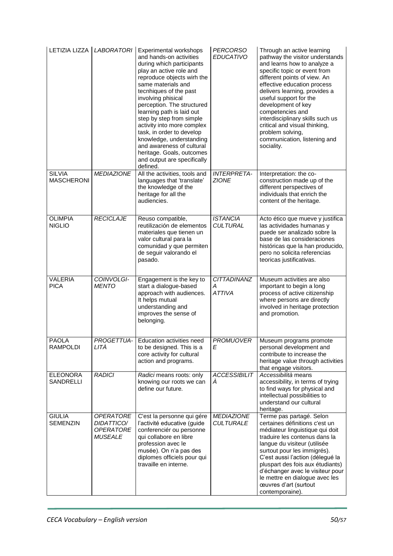|                                    | LETIZIA LIZZA LABORATORI                                                    | Experimental workshops<br>and hands-on activities<br>during which participants<br>play an active role and<br>reproduce objects wirh the<br>same materials and<br>tecnhiques of the past<br>involving phisical<br>perception. The structured<br>learning path is laid out<br>step by step from simple<br>activity into more complex<br>task, in order to develop<br>knowledge, understanding<br>and awareness of cultural<br>heritage. Goals, outcomes<br>and output are specifically<br>defined. | <b>PERCORSO</b><br><b>EDUCATIVO</b>      | Through an active learning<br>pathway the visitor understands<br>and learns how to analyze a<br>specific topic or event from<br>different points of view. An<br>effective education process<br>delivers learning, provides a<br>useful support for the<br>development of key<br>competencies and<br>interdisciplinary skills such us<br>critical and visual thinking,<br>problem solving,<br>communication, listening and<br>sociality. |
|------------------------------------|-----------------------------------------------------------------------------|--------------------------------------------------------------------------------------------------------------------------------------------------------------------------------------------------------------------------------------------------------------------------------------------------------------------------------------------------------------------------------------------------------------------------------------------------------------------------------------------------|------------------------------------------|-----------------------------------------------------------------------------------------------------------------------------------------------------------------------------------------------------------------------------------------------------------------------------------------------------------------------------------------------------------------------------------------------------------------------------------------|
| <b>SILVIA</b><br><b>MASCHERONI</b> | <b>MEDIAZIONE</b>                                                           | All the activities, tools and<br>languages that 'translate'<br>the knowledge of the<br>heritage for all the<br>audiencies.                                                                                                                                                                                                                                                                                                                                                                       | <b>INTERPRETA-</b><br><b>ZIONE</b>       | Interpretation: the co-<br>construction made up of the<br>different perspectives of<br>individuals that enrich the<br>content of the heritage.                                                                                                                                                                                                                                                                                          |
| <b>OLIMPIA</b><br><b>NIGLIO</b>    | <b>RECICLAJE</b>                                                            | Reuso compatible,<br>reutilización de elementos<br>materiales que tienen un<br>valor cultural para la<br>comunidad y que permiten<br>de seguir valorando el<br>pasado.                                                                                                                                                                                                                                                                                                                           | <b>ISTANCIA</b><br><b>CULTURAL</b>       | Acto ético que mueve y justifica<br>las actividades humanas y<br>puede ser analizado sobre la<br>base de las consideraciones<br>históricas que la han producido,<br>pero no solicita referencias<br>teoricas justificativas.                                                                                                                                                                                                            |
| <b>VALERIA</b><br><b>PICA</b>      | COINVOLGI-<br><b>MENTO</b>                                                  | Engagement is the key to<br>start a dialogue-based<br>approach with audiences.<br>It helps mutual<br>understanding and<br>improves the sense of<br>belonging.                                                                                                                                                                                                                                                                                                                                    | <b>CITTADINANZ</b><br>Α<br><b>ATTIVA</b> | Museum activities are also<br>important to begin a long<br>process of active citizenship<br>where persons are directly<br>involved in heritage protection<br>and promotion.                                                                                                                                                                                                                                                             |
| <b>PAOLA</b><br><b>RAMPOLDI</b>    | LITÀ                                                                        | PROGETTUA-   Education activities need<br>to be designed. This is a<br>core activity for cultural<br>action and programs.                                                                                                                                                                                                                                                                                                                                                                        | <b>PROMUOVER</b><br>E                    | Museum programs promote<br>personal development and<br>contribute to increase the<br>heritage value through activities<br>that engage visitors.                                                                                                                                                                                                                                                                                         |
| <b>ELEONORA</b><br>SANDRELLI       | <b>RADICI</b>                                                               | Radici means roots: only<br>knowing our roots we can<br>define our future.                                                                                                                                                                                                                                                                                                                                                                                                                       | <b>ACCESSIBILIT</b><br>Á                 | Accessibilità means<br>accessibility, in terms of trying<br>to find ways for physical and<br>intellectual possibilities to<br>understand our cultural<br>heritage.                                                                                                                                                                                                                                                                      |
| <b>GIULIA</b><br><b>SEMENZIN</b>   | <b>OPERATORE</b><br><b>DIDATTICO/</b><br><b>OPERATORE</b><br><i>MUSEALE</i> | C'est la personne qui gére<br>l'activité educative (guide<br>conferenciér ou personne<br>qui collabore en libre<br>profession avec le<br>musée). On n'a pas des<br>diplomes officiels pour qui<br>travaille en interne.                                                                                                                                                                                                                                                                          | <b>MEDIAZIONE</b><br><b>CULTURALE</b>    | Terme pas partagé. Selon<br>certaines définitions c'est un<br>médiateur linguistique qui doit<br>traduire les contenus dans la<br>langue du visiteur (utilisée<br>surtout pour les immigrés).<br>C'est aussi l'action (délegué la<br>pluspart des fois aux étudiants)<br>d'échanger avec le visiteur pour<br>le mettre en dialogue avec les<br>œuvres d'art (surtout<br>contemporaine).                                                 |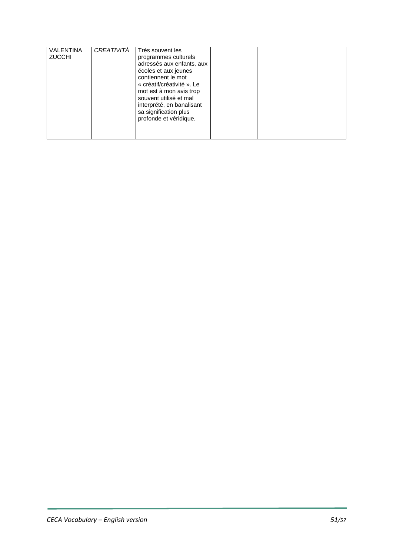| <b>VALENTINA</b><br><b>ZUCCHI</b> | CREATIVITÀ | Très souvent les<br>programmes culturels<br>adressés aux enfants, aux<br>écoles et aux jeunes<br>contiennent le mot<br>« créatif/créativité ». Le<br>mot est à mon avis trop<br>souvent utilisé et mal<br>interprété, en banalisant<br>sa signification plus<br>profonde et véridique. |  |  |
|-----------------------------------|------------|----------------------------------------------------------------------------------------------------------------------------------------------------------------------------------------------------------------------------------------------------------------------------------------|--|--|
|                                   |            |                                                                                                                                                                                                                                                                                        |  |  |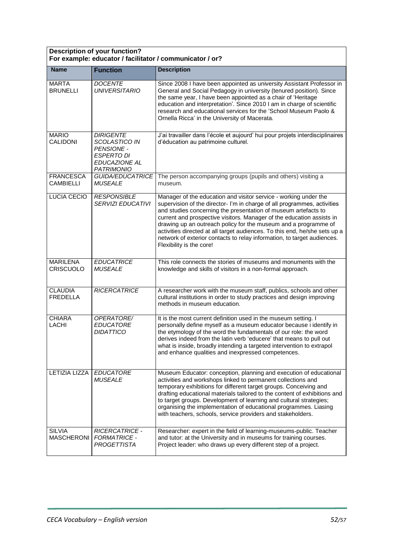| <b>Description of your function?</b><br>For example: educator / facilitator / communicator / or? |                                                                                                                          |                                                                                                                                                                                                                                                                                                                                                                                                                                                                                                                                                 |  |
|--------------------------------------------------------------------------------------------------|--------------------------------------------------------------------------------------------------------------------------|-------------------------------------------------------------------------------------------------------------------------------------------------------------------------------------------------------------------------------------------------------------------------------------------------------------------------------------------------------------------------------------------------------------------------------------------------------------------------------------------------------------------------------------------------|--|
| <b>Name</b>                                                                                      | <b>Function</b>                                                                                                          | <b>Description</b>                                                                                                                                                                                                                                                                                                                                                                                                                                                                                                                              |  |
| <b>MARTA</b><br><b>BRUNELLI</b>                                                                  | <b>DOCENTE</b><br><b>UNIVERSITARIO</b>                                                                                   | Since 2008 I have been appointed as university Assistant Professor in<br>General and Social Pedagogy in university (tenured position). Since<br>the same year, I have been appointed as a chair of 'Heritage<br>education and interpretation'. Since 2010 I am in charge of scientific<br>research and educational services for the 'School Museum Paolo &<br>Ornella Ricca' in the University of Macerata.                                                                                                                                     |  |
| <b>MARIO</b><br><b>CALIDONI</b>                                                                  | <b>DIRIGENTE</b><br>SCOLASTICO IN<br><b>PENSIONE -</b><br><b>ESPERTO DI</b><br><b>EDUCAZIONE AL</b><br><b>PATRIMONIO</b> | J'ai travailler dans l'école et aujourd' hui pour projets interdisciplinaires<br>d'éducation au patrimoine culturel.                                                                                                                                                                                                                                                                                                                                                                                                                            |  |
| <b>FRANCESCA</b><br><b>CAMBIELLI</b>                                                             | <b>GUIDA/EDUCATRICE</b><br><b>MUSEALE</b>                                                                                | The person accompanying groups (pupils and others) visiting a<br>museum.                                                                                                                                                                                                                                                                                                                                                                                                                                                                        |  |
| <b>LUCIA CECIO</b>                                                                               | <b>RESPONSIBLE</b><br><b>SERVIZI EDUCATIVI</b>                                                                           | Manager of the education and visitor service - working under the<br>supervision of the director- I'm in charge of all programmes, activities<br>and studies concerning the presentation of museum artefacts to<br>current and prospective visitors. Manager of the education assists in<br>drawing up an outreach policy for the museum and a programme of<br>activities directed at all target audiences. To this end, he/she sets up a<br>network of exterior contacts to relay information, to target audiences.<br>Flexibility is the core! |  |
| <b>MARILENA</b><br><b>CRISCUOLO</b>                                                              | <b>EDUCATRICE</b><br><b>MUSEALE</b>                                                                                      | This role connects the stories of museums and monuments with the<br>knowledge and skills of visitors in a non-formal approach.                                                                                                                                                                                                                                                                                                                                                                                                                  |  |
| <b>CLAUDIA</b><br><b>FREDELLA</b>                                                                | <b>RICERCATRICE</b>                                                                                                      | A researcher work with the museum staff, publics, schools and other<br>cultural institutions in order to study practices and design improving<br>methods in museum education.                                                                                                                                                                                                                                                                                                                                                                   |  |
| <b>CHIARA</b><br><b>LACHI</b>                                                                    | OPERATORE/<br><b>EDUCATORE</b><br><b>DIDATTICO</b>                                                                       | It is the most current definition used in the museum setting. I<br>personally define myself as a museum educator because i identify in<br>the etymology of the word the fundamentals of our role: the word<br>derives indeed from the latin verb 'educere' that means to pull out<br>what is inside, broadly intending a targeted intervention to extrapol<br>and enhance qualities and inexpressed competences.                                                                                                                                |  |
| <b>LETIZIA LIZZA</b>                                                                             | <b>EDUCATORE</b><br><b>MUSEALE</b>                                                                                       | Museum Educator: conception, planning and execution of educational<br>activities and workshops linked to permanent collections and<br>temporary exhibitions for different target groups. Conceiving and<br>drafting educational materials tailored to the content of exhibitions and<br>to target groups. Development of learning and cultural strategies;<br>organising the implementation of educational programmes. Liasing<br>with teachers, schools, service providers and stakeholders.                                                   |  |
| <b>SILVIA</b><br><b>MASCHERONI</b>                                                               | <b>RICERCATRICE -</b><br><b>FORMATRICE -</b><br><b>PROGETTISTA</b>                                                       | Researcher: expert in the field of learning-museums-public. Teacher<br>and tutor: at the University and in museums for training courses.<br>Project leader: who draws up every different step of a project.                                                                                                                                                                                                                                                                                                                                     |  |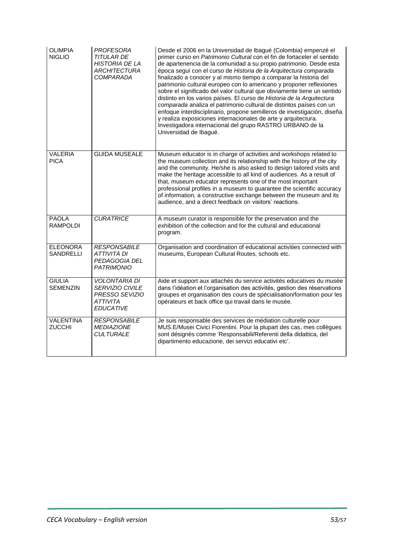| <b>OLIMPIA</b><br><b>NIGLIO</b>     | PROFESORA<br><b>TITULAR DE</b><br><b>HISTORIA DE LA</b><br><b>ARCHITECTURA</b><br>COMPARADA      | Desde el 2006 en la Universidad de Ibagué (Colombia) empenzé el<br>primer curso en Patrimonio Cultural con el fin de fortaceler el sentido<br>de apartenencia de la comunidad a su propio patrimonio. Desde esta<br>época seguí con el curso de Historia de la Arquitectura comparada<br>finalizado a conocer y al mismo tiempo a comparar la historia del<br>patrimonio cultural europeo con lo americano y proponer reflexiones<br>sobre el significado del valor cultural que obviamente tiene un sentido<br>distinto en los varios países. El curso de Historia de la Arquitectura<br>comparada analiza el patrimonio cultural de distintos países con un<br>enfoque interdisciplinario, propone semilleros de investigación, diseña<br>y realiza exposiciones internacionales de arte y arquitectura.<br>Investigadora internacional del grupo RASTRO URBANO de la<br>Universidad de Ibagué. |
|-------------------------------------|--------------------------------------------------------------------------------------------------|---------------------------------------------------------------------------------------------------------------------------------------------------------------------------------------------------------------------------------------------------------------------------------------------------------------------------------------------------------------------------------------------------------------------------------------------------------------------------------------------------------------------------------------------------------------------------------------------------------------------------------------------------------------------------------------------------------------------------------------------------------------------------------------------------------------------------------------------------------------------------------------------------|
| <b>VALERIA</b><br><b>PICA</b>       | <b>GUIDA MUSEALE</b>                                                                             | Museum educator is in charge of activities and workshops related to<br>the museum collection and its relationship with the history of the city<br>and the community. He/she is also asked to design tailored visits and<br>make the heritage accessible to all kind of audiences. As a result of<br>that, museum educator represents one of the most important<br>professional profiles in a museum to guarantee the scientific accuracy<br>of information, a constructive exchange between the museum and its<br>audience, and a direct feedback on visitors' reactions.                                                                                                                                                                                                                                                                                                                         |
| <b>PAOLA</b><br><b>RAMPOLDI</b>     | <b>CURATRICE</b>                                                                                 | A museum curator is responsible for the preservation and the<br>exhibition of the collection and for the cultural and educational<br>program.                                                                                                                                                                                                                                                                                                                                                                                                                                                                                                                                                                                                                                                                                                                                                     |
| <b>ELEONORA</b><br><b>SANDRELLI</b> | <b>RESPONSABILE</b><br>ATTIVITÀ DI<br>PEDAGOGIA DEL<br>PATRIMONIO                                | Organisation and coordination of educational activities connected with<br>museums, European Cultural Routes, schools etc.                                                                                                                                                                                                                                                                                                                                                                                                                                                                                                                                                                                                                                                                                                                                                                         |
| <b>GIULIA</b><br><b>SEMENZIN</b>    | <b>VOLONTARIA DI</b><br>SERVIZIO CIVILE<br><b>PRESSO SEVIZIO</b><br>ATTIVITA<br><b>EDUCATIVE</b> | Aide et support aux attachés du service activités educatives du musée<br>dans l'idéation et l'organisation des activités, gestion des réservations<br>groupes et organisation des cours de spécialisation/formation pour les<br>opérateurs et back office qui travail dans le musée.                                                                                                                                                                                                                                                                                                                                                                                                                                                                                                                                                                                                              |
| <b>VALENTINA</b><br><b>ZUCCHI</b>   | <b>RESPONSABILE</b><br><b>MEDIAZIONE</b><br><b>CULTURALE</b>                                     | Je suis responsable des services de médiation culturelle pour<br>MUS. E/Musei Civici Fiorentini. Pour la plupart des cas, mes collègues<br>sont désignés comme 'Responsabili/Referenti della didattica, del<br>dipartimento educazione, dei servizi educativi etc'.                                                                                                                                                                                                                                                                                                                                                                                                                                                                                                                                                                                                                               |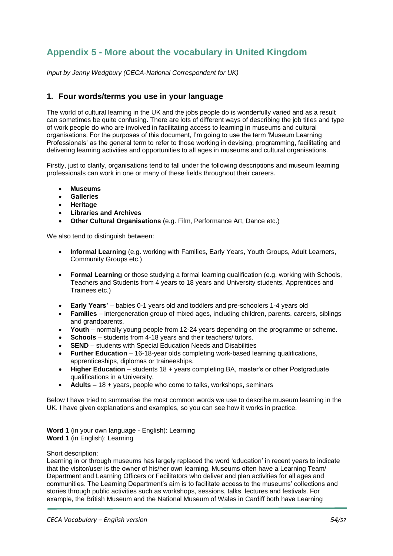# <span id="page-53-0"></span>**Appendix 5 - More about the vocabulary in United Kingdom**

*Input by Jenny Wedgbury (CECA-National Correspondent for UK)*

## **1. Four words/terms you use in your language**

The world of cultural learning in the UK and the jobs people do is wonderfully varied and as a result can sometimes be quite confusing. There are lots of different ways of describing the job titles and type of work people do who are involved in facilitating access to learning in museums and cultural organisations. For the purposes of this document, I'm going to use the term 'Museum Learning Professionals' as the general term to refer to those working in devising, programming, facilitating and delivering learning activities and opportunities to all ages in museums and cultural organisations.

Firstly, just to clarify, organisations tend to fall under the following descriptions and museum learning professionals can work in one or many of these fields throughout their careers.

- **Museums**
- **Galleries**
- **Heritage**
- **Libraries and Archives**
- **Other Cultural Organisations** (e.g. Film, Performance Art, Dance etc.)

We also tend to distinguish between:

- **Informal Learning** (e.g. working with Families, Early Years, Youth Groups, Adult Learners, Community Groups etc.)
- **Formal Learning** or those studying a formal learning qualification (e.g. working with Schools, Teachers and Students from 4 years to 18 years and University students, Apprentices and Trainees etc.)
- **Early Years'** babies 0-1 years old and toddlers and pre-schoolers 1-4 years old
- **Families**  intergeneration group of mixed ages, including children, parents, careers, siblings and grandparents.
- **Youth**  normally young people from 12-24 years depending on the programme or scheme.
- **Schools** students from 4-18 years and their teachers/ tutors.
- **SEND** students with Special Education Needs and Disabilities
- **Further Education** 16-18-year olds completing work-based learning qualifications, apprenticeships, diplomas or traineeships.
- **Higher Education** students 18 + years completing BA, master's or other Postgraduate qualifications in a University.
- **Adults** 18 + years, people who come to talks, workshops, seminars

Below I have tried to summarise the most common words we use to describe museum learning in the UK. I have given explanations and examples, so you can see how it works in practice.

**Word 1** (in your own language - English): Learning **Word 1** (in English): Learning

#### Short description:

Learning in or through museums has largely replaced the word 'education' in recent years to indicate that the visitor/user is the owner of his/her own learning. Museums often have a Learning Team/ Department and Learning Officers or Facilitators who deliver and plan activities for all ages and communities. The Learning Department's aim is to facilitate access to the museums' collections and stories through public activities such as workshops, sessions, talks, lectures and festivals. For example, the British Museum and the National Museum of Wales in Cardiff both have Learning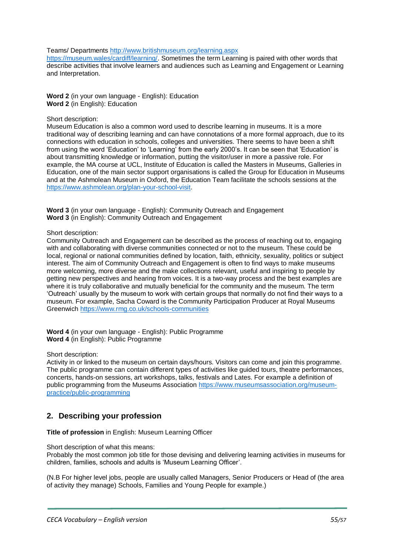Teams/ Departments<http://www.britishmuseum.org/learning.aspx>

[https://museum.wales/cardiff/learning/.](https://museum.wales/cardiff/learning/) Sometimes the term Learning is paired with other words that describe activities that involve learners and audiences such as Learning and Engagement or Learning and Interpretation.

**Word 2** (in your own language - English): Education **Word 2** (in English): Education

Short description:

Museum Education is also a common word used to describe learning in museums. It is a more traditional way of describing learning and can have connotations of a more formal approach, due to its connections with education in schools, colleges and universities. There seems to have been a shift from using the word 'Education' to 'Learning' from the early 2000's. It can be seen that 'Education' is about transmitting knowledge or information, putting the visitor/user in more a passive role. For example, the MA course at UCL, Institute of Education is called the Masters in Museums, Galleries in Education, one of the main sector support organisations is called the Group for Education in Museums and at the Ashmolean Museum in Oxford, the Education Team facilitate the schools sessions at the [https://www.ashmolean.org/plan-your-school-visit.](https://www.ashmolean.org/plan-your-school-visit)

**Word 3** (in your own language - English): Community Outreach and Engagement **Word 3** (in English): Community Outreach and Engagement

#### Short description:

Community Outreach and Engagement can be described as the process of reaching out to, engaging with and collaborating with diverse communities connected or not to the museum. These could be local, regional or national communities defined by location, faith, ethnicity, sexuality, politics or subject interest. The aim of Community Outreach and Engagement is often to find ways to make museums more welcoming, more diverse and the make collections relevant, useful and inspiring to people by getting new perspectives and hearing from voices. It is a two-way process and the best examples are where it is truly collaborative and mutually beneficial for the community and the museum. The term 'Outreach' usually by the museum to work with certain groups that normally do not find their ways to a museum. For example, Sacha Coward is the Community Participation Producer at Royal Museums Greenwich<https://www.rmg.co.uk/schools-communities>

**Word 4** (in your own language - English): Public Programme **Word 4** (in English): Public Programme

#### Short description:

Activity in or linked to the museum on certain days/hours. Visitors can come and join this programme. The public programme can contain different types of activities like guided tours, theatre performances, concerts, hands-on sessions, art workshops, talks, festivals and Lates. For example a definition of public programming from the Museums Association [https://www.museumsassociation.org/museum](https://www.museumsassociation.org/museum-practice/public-programming)[practice/public-programming](https://www.museumsassociation.org/museum-practice/public-programming)

# **2. Describing your profession**

**Title of profession** in English: Museum Learning Officer

Short description of what this means:

Probably the most common job title for those devising and delivering learning activities in museums for children, families, schools and adults is 'Museum Learning Officer'.

(N.B For higher level jobs, people are usually called Managers, Senior Producers or Head of (the area of activity they manage) Schools, Families and Young People for example.)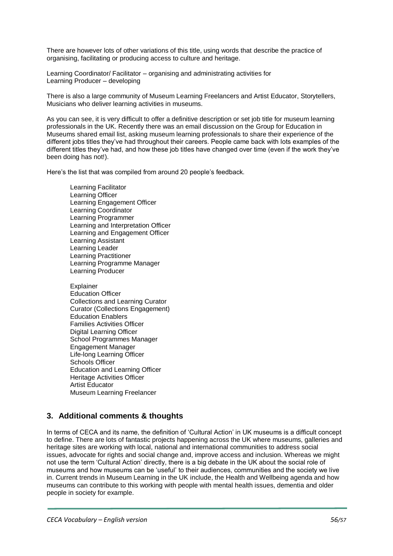There are however lots of other variations of this title, using words that describe the practice of organising, facilitating or producing access to culture and heritage.

Learning Coordinator/ Facilitator – organising and administrating activities for Learning Producer – developing

There is also a large community of Museum Learning Freelancers and Artist Educator, Storytellers, Musicians who deliver learning activities in museums.

As you can see, it is very difficult to offer a definitive description or set job title for museum learning professionals in the UK. Recently there was an email discussion on the Group for Education in Museums shared email list, asking museum learning professionals to share their experience of the different jobs titles they've had throughout their careers. People came back with lots examples of the different titles they've had, and how these job titles have changed over time (even if the work they've been doing has not!).

Here's the list that was compiled from around 20 people's feedback.

Learning Facilitator Learning Officer Learning Engagement Officer Learning Coordinator Learning Programmer Learning and Interpretation Officer Learning and Engagement Officer Learning Assistant Learning Leader Learning Practitioner Learning Programme Manager Learning Producer

Explainer Education Officer Collections and Learning Curator Curator (Collections Engagement) Education Enablers Families Activities Officer Digital Learning Officer School Programmes Manager Engagement Manager Life-long Learning Officer Schools Officer Education and Learning Officer Heritage Activities Officer Artist Educator Museum Learning Freelancer

# **3. Additional comments & thoughts**

In terms of CECA and its name, the definition of 'Cultural Action' in UK museums is a difficult concept to define. There are lots of fantastic projects happening across the UK where museums, galleries and heritage sites are working with local, national and international communities to address social issues, advocate for rights and social change and, improve access and inclusion. Whereas we might not use the term 'Cultural Action' directly, there is a big debate in the UK about the social role of museums and how museums can be 'useful' to their audiences, communities and the society we live in. Current trends in Museum Learning in the UK include, the Health and Wellbeing agenda and how museums can contribute to this working with people with mental health issues, dementia and older people in society for example.